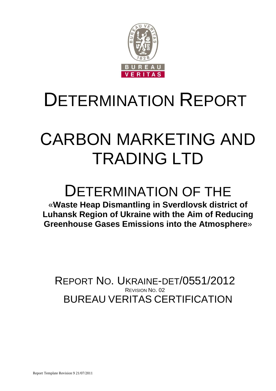

# DETERMINATION REPORT

# СARBON MARKETING AND TRADING LTD

# DETERMINATION OF THE

«**Waste Heap Dismantling in Sverdlovsk district of Luhansk Region of Ukraine with the Aim of Reducing Greenhouse Gases Emissions into the Atmosphere**»

BUREAU VERITAS CERTIFICATION REPORT NO. UKRAINE-DET/0551/2012 REVISION NO. 02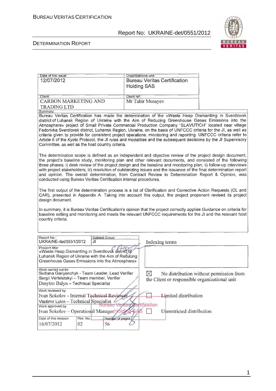

#### DETERMINATION REPORT

| Date of first issue:                                                |           |                  | Organizational unit:                                                                                                 |                                         |
|---------------------------------------------------------------------|-----------|------------------|----------------------------------------------------------------------------------------------------------------------|-----------------------------------------|
| 12/07/2012                                                          |           |                  | <b>Bureau Veritas Certification</b>                                                                                  |                                         |
|                                                                     |           |                  | <b>Holding SAS</b>                                                                                                   |                                         |
|                                                                     |           |                  |                                                                                                                      |                                         |
| Client:                                                             |           | Client ref.:     |                                                                                                                      |                                         |
| <b>CARBON MARKETING AND</b>                                         |           |                  | Mr Tahir Musayev                                                                                                     |                                         |
|                                                                     |           |                  |                                                                                                                      |                                         |
| <b>TRADING LTD</b><br>Summary:                                      |           |                  |                                                                                                                      |                                         |
|                                                                     |           |                  | Bureau Veritas Certification has made the determination of the «Waste Heap Dismantling in Sverdlovsk                 |                                         |
|                                                                     |           |                  | district of Luhansk Region of Ukraine with the Aim of Reducing Greenhouse Gases Emissions into the                   |                                         |
|                                                                     |           |                  | Atmosphere» project of Small Private Commercial Production Company "SLAVUTICH" located near village                  |                                         |
|                                                                     |           |                  | Fedorivka Sverdlovsk district, Luhansk Region, Ukraine, on the basis of UNFCCC criteria for the JI, as well as       |                                         |
|                                                                     |           |                  | criteria given to provide for consistent project operations, monitoring and reporting. UNFCCC criteria refer to      |                                         |
|                                                                     |           |                  | Article 6 of the Kyoto Protocol, the JI rules and modalities and the subsequent decisions by the JI Supervisory      |                                         |
| Committee, as well as the host country criteria.                    |           |                  |                                                                                                                      |                                         |
|                                                                     |           |                  |                                                                                                                      |                                         |
|                                                                     |           |                  | The determination scope is defined as an independent and objective review of the project design document,            |                                         |
|                                                                     |           |                  | the project's baseline study, monitoring plan and other relevant documents, and consisted of the following           |                                         |
|                                                                     |           |                  | three phases: i) desk review of the project design and the baseline and monitoring plan; ii) follow-up interviews    |                                         |
|                                                                     |           |                  | with project stakeholders; iii) resolution of outstanding issues and the issuance of the final determination report  |                                         |
|                                                                     |           |                  | and opinion. The overall determination, from Contract Review to Determination Report & Opinion, was                  |                                         |
| conducted using Bureau Veritas Certification internal procedures.   |           |                  |                                                                                                                      |                                         |
|                                                                     |           |                  |                                                                                                                      |                                         |
|                                                                     |           |                  | The first output of the determination process is a list of Clarification and Corrective Action Requests (CL and      |                                         |
|                                                                     |           |                  | CAR), presented in Appendix A. Taking into account this output, the project proponent revised its project            |                                         |
| design document.                                                    |           |                  |                                                                                                                      |                                         |
|                                                                     |           |                  |                                                                                                                      |                                         |
|                                                                     |           |                  | In summary, it is Bureau Veritas Certification's opinion that the project correctly applies Guidance on criteria for |                                         |
|                                                                     |           |                  | baseline setting and monitoring and meets the relevant UNFCCC requirements for the JI and the relevant host          |                                         |
| country criteria.                                                   |           |                  |                                                                                                                      |                                         |
|                                                                     |           |                  |                                                                                                                      |                                         |
|                                                                     |           |                  |                                                                                                                      |                                         |
|                                                                     |           |                  |                                                                                                                      |                                         |
| Report No.:<br>UKRAINE-det/0551/2012                                | JI        | Subject Group:   | Indexing terms                                                                                                       |                                         |
|                                                                     |           |                  |                                                                                                                      |                                         |
| Project title:<br>«Waste Heap Dismantling in Sverdlovsk district of |           |                  |                                                                                                                      |                                         |
| Luhansk Region of Ukraine with the Aim of Reducing                  |           |                  |                                                                                                                      |                                         |
| Greenhouse Gases Emissions into the Atmosphere»                     |           |                  |                                                                                                                      |                                         |
|                                                                     |           |                  |                                                                                                                      |                                         |
| Work carried out by:                                                |           |                  |                                                                                                                      |                                         |
| Svitlana Gariyenchyk - Team Leader, Lead Verifier                   |           |                  | $\boxtimes$                                                                                                          | No distribution without permission from |
| Sergii Verteletskyi - Team member, Verifier                         |           |                  | the Client or responsible organizational unit                                                                        |                                         |
| Dmytro Balyn - Technical Specialist                                 |           |                  |                                                                                                                      |                                         |
| Work reviewed by:                                                   |           |                  |                                                                                                                      |                                         |
| Ivan Sokolov - Internal Technical Reviewer                          |           |                  | Limited distribution                                                                                                 |                                         |
| Vladimir Lukin - Technical Specialist                               |           |                  |                                                                                                                      |                                         |
| Work approved by:                                                   |           |                  | <b>Yertification</b>                                                                                                 |                                         |
| Ivan Sokolov – Operational Manager Midi                             |           |                  | Unrestricted distribution                                                                                            |                                         |
|                                                                     |           |                  |                                                                                                                      |                                         |
| Date of this revision:                                              | Rev. No.: | Number of pages: |                                                                                                                      |                                         |
| 16/07/2012                                                          | 02        | 56               |                                                                                                                      |                                         |
|                                                                     |           |                  |                                                                                                                      |                                         |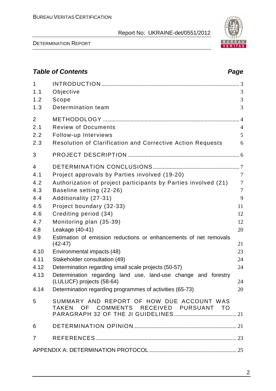1 INTRODUCTION ................................................................................................... 3 1.1 Objective 3 1.2 Scope 3 1.3 Determination team 3

2 METHODOLOGY .................................................................................................. 4 2.1 Review of Documents 4 2.2 Follow-up Interviews 5 2.3 Resolution of Clarification and Corrective Action Requests 6

DETERMINATION REPORT

# 2 3 PROJECT DESCRIPTION ................................................................................ 6 4 DETERMINATION CONCLUSIONS.............................................................. 7 4.1 Project approvals by Parties involved (19-20) 7 4.2 Authorization of project participants by Parties involved (21) 7 4.3 Baseline setting (22-26) 7 4.4 Additionality (27-31) 9 4.5 Project boundary (32-33) 11 4.6 Crediting period (34) 12 4.7 Monitoring plan (35-39) 12 4.8 Leakage (40-41) 20 4.9 Estimation of emission reductions or enhancements of net removals  $(42-47)$  21 4.10 Environmental impacts (48) 23 4.11 Stakeholder consultation (49) 24 4.12 Determination regarding small scale projects (50-57) 24 4.13 Determination regarding land use, land-use change and forestry (LULUCF) projects (58-64) 24 4.14 Determination regarding programmes of activities (65-73) 20 5 SUMMARY AND REPORT OF HOW DUE ACCOUNT WAS TAKEN OF COMMENTS RECEIVED PURSUANT TO PARAGRAPH 32 OF THE JI GUIDELINES............................................. 21 6 DETERMINATION OPINION.......................................................................... 21 7 REFERENCES ..................................................................................................... 23 APPENDIX A: DETERMINATION PROTOCOL............................................................... 25



## **Table of Contents Page 2016**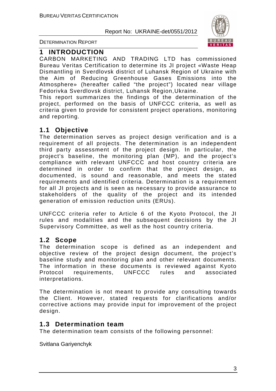

DETERMINATION REPORT

## **1 INTRODUCTION**

СARBON MARKETING AND TRADING LTD has commissioned Bureau Veritas Certification to determine its JI project «Waste Heap Dismantling in Sverdlovsk district of Luhansk Region of Ukraine with the Aim of Reducing Greenhouse Gases Emissions into the Atmosphere» (hereafter called "the project") located near village Fedorivka Sverdlovsk district, Luhansk Region,Ukraine.

This report summarizes the findings of the determination of the project, performed on the basis of UNFCCC criteria, as well as criteria given to provide for consistent project operations, monitoring and reporting.

## **1.1 Objective**

The determination serves as project design verification and is a requirement of all projects. The determination is an independent third party assessment of the project design. In particular, the project's baseline, the monitoring plan (MP), and the project's compliance with relevant UNFCCC and host country criteria are determined in order to confirm that the project design, as documented, is sound and reasonable, and meets the stated requirements and identified criteria. Determination is a requirement for all JI projects and is seen as necessary to provide assurance to stakeholders of the quality of the project and its intended generation of emission reduction units (ERUs).

UNFCCC criteria refer to Article 6 of the Kyoto Protocol, the JI rules and modalities and the subsequent decisions by the JI Supervisory Committee, as well as the host country criteria.

## **1.2 Scope**

The determination scope is defined as an independent and objective review of the project design document, the project's baseline study and monitoring plan and other relevant documents. The information in these documents is reviewed against Kyoto Protocol requirements, UNFCCC rules and associated interpretations.

The determination is not meant to provide any consulting towards the Client. However, stated requests for clarifications and/or corrective actions may provide input for improvement of the project design.

## **1.3 Determination team**

The determination team consists of the following personnel:

Svitlana Gariyenchyk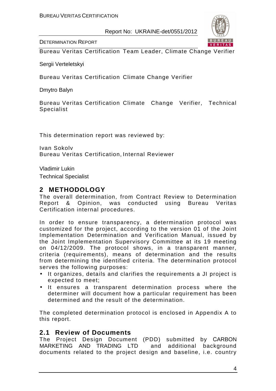

DETERMINATION REPORT

Bureau Veritas Certification Team Leader, Climate Change Verifier

Sergii Verteletskyi

Bureau Veritas Certification Climate Change Verifier

Dmytro Balyn

Bureau Veritas Certification Climate Change Verifier, Technical Specialist

This determination report was reviewed by:

Ivan Sokolv Bureau Veritas Certification, Internal Reviewer

Vladimir Lukin

Technical Specialist

## **2 METHODOLOGY**

The overall determination, from Contract Review to Determination Report & Opinion, was conducted using Bureau Veritas Certification internal procedures.

In order to ensure transparency, a determination protocol was customized for the project, according to the version 01 of the Joint Implementation Determination and Verification Manual, issued by the Joint Implementation Supervisory Committee at its 19 meeting on 04/12/2009. The protocol shows, in a transparent manner, criteria (requirements), means of determination and the results from determining the identified criteria. The determination protocol serves the following purposes:

- It organizes, details and clarifies the requirements a JI project is expected to meet;
- It ensures a transparent determination process where the determiner will document how a particular requirement has been determined and the result of the determination.

The completed determination protocol is enclosed in Appendix A to this report.

## **2.1 Review of Documents**

The Project Design Document (PDD) submitted by СARBON MARKETING AND TRADING LTD and additional background documents related to the project design and baseline, i.e. country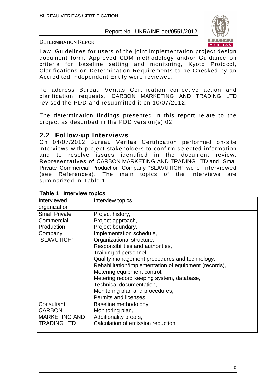

#### DETERMINATION REPORT

Law, Guidelines for users of the joint implementation project design document form, Approved CDM methodology and/or Guidance on criteria for baseline setting and monitoring, Kyoto Protocol, Clarifications on Determination Requirements to be Checked by an Accredited Independent Entity were reviewed.

To address Bureau Veritas Certification corrective action and clarification requests, СARBON MARKETING AND TRADING LTD revised the PDD and resubmitted it on 10/07/2012.

The determination findings presented in this report relate to the project as described in the PDD version(s) 02.

## **2.2 Follow-up Interviews**

On 04/07/2012 Bureau Veritas Certification performed on-site interviews with project stakeholders to confirm selected information and to resolve issues identified in the document review. Representatives of СARBON MARKETING AND TRADING LTD and Small Private Commercial Production Company "SLAVUTICH" were interviewed (see References). The main topics of the interviews are summarized in Table 1.

| Interviewed            | Interview topics                                      |
|------------------------|-------------------------------------------------------|
| organization           |                                                       |
| <b>Small Private</b>   | Project history,                                      |
| Commercial             | Project approach,                                     |
| Production             |                                                       |
|                        | Project boundary,                                     |
| Company<br>"SLAVUTICH" | Implementation schedule,                              |
|                        | Organizational structure,                             |
|                        | Responsibilities and authorities,                     |
|                        | Training of personnel,                                |
|                        | Quality management procedures and technology,         |
|                        | Rehabilitation/Implementation of equipment (records), |
|                        | Metering equipment control,                           |
|                        | Metering record keeping system, database,             |
|                        | Technical documentation,                              |
|                        | Monitoring plan and procedures,                       |
|                        | Permits and licenses,                                 |
| Consultant:            | Baseline methodology,                                 |
| <b>CARBON</b>          | Monitoring plan,                                      |
| <b>MARKETING AND</b>   | Additionality proofs,                                 |
| <b>TRADING LTD</b>     | Calculation of emission reduction                     |
|                        |                                                       |

## **Table 1 Interview topics**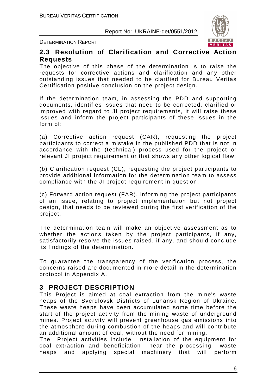

DETERMINATION REPORT

## **2.3 Resolution of Clarification and Corrective Action Requests**

The objective of this phase of the determination is to raise the requests for corrective actions and clarification and any other outstanding issues that needed to be clarified for Bureau Veritas Certification positive conclusion on the project design.

If the determination team, in assessing the PDD and supporting documents, identifies issues that need to be corrected, clarified or improved with regard to JI project requirements, it will raise these issues and inform the project participants of these issues in the form of:

(a) Corrective action request (CAR), requesting the project participants to correct a mistake in the published PDD that is not in accordance with the (technical) process used for the project or relevant JI project requirement or that shows any other logical flaw;

(b) Clarification request (CL), requesting the project participants to provide additional information for the determination team to assess compliance with the JI project requirement in question;

(c) Forward action request (FAR), informing the project participants of an issue, relating to project implementation but not project design, that needs to be reviewed during the first verification of the project.

The determination team will make an objective assessment as to whether the actions taken by the project participants, if any, satisfactorily resolve the issues raised, if any, and should conclude its findings of the determination.

To guarantee the transparency of the verification process, the concerns raised are documented in more detail in the determination protocol in Appendix A.

## **3 PROJECT DESCRIPTION**

This Project is aimed at coal extraction from the mine's waste heaps of the Sverdlovsk Districts of Luhansk Region of Ukraine. These waste heaps have been accumulated some time before the start of the project activity from the mining waste of underground mines. Project activity will prevent greenhouse gas emissions into the atmosphere during combustion of the heaps and will contribute an additional amount of coal, without the need for mining.

The Project activities include installation of the equipment for coal extraction and beneficiation near the processing waste heaps and applying special machinery that will perform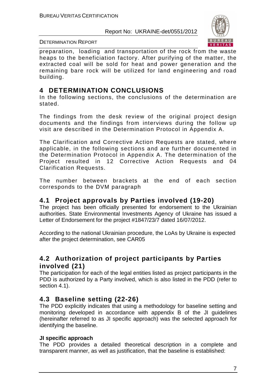

#### DETERMINATION REPORT

preparation, loading and transportation of the rock from the waste heaps to the beneficiation factory. After purifying of the matter, the extracted coal will be sold for heat and power generation and the remaining bare rock will be utilized for land engineering and road building.

## **4 DETERMINATION CONCLUSIONS**

In the following sections, the conclusions of the determination are stated.

The findings from the desk review of the original project design documents and the findings from interviews during the follow up visit are described in the Determination Protocol in Appendix A.

The Clarification and Corrective Action Requests are stated, where applicable, in the following sections and are further documented in the Determination Protocol in Appendix A. The determination of the Project resulted in 12 Corrective Action Requests and 04 Clarification Requests.

The number between brackets at the end of each section corresponds to the DVM paragraph

## **4.1 Project approvals by Parties involved (19-20)**

The project has been officially presented for endorsement to the Ukrainian authorities. State Environmental Investments Agency of Ukraine has issued a Letter of Endorsement for the project #1847/23/7 dated 16/07/2012.

According to the national Ukrainian procedure, the LoAs by Ukraine is expected after the project determination, see CAR05

## **4.2 Authorization of project participants by Parties involved (21)**

The participation for each of the legal entities listed as project participants in the PDD is authorized by a Party involved, which is also listed in the PDD (refer to section 4.1).

## **4.3 Baseline setting (22-26)**

The PDD explicitly indicates that using a methodology for baseline setting and monitoring developed in accordance with appendix B of the JI guidelines (hereinafter referred to as JI specific approach) was the selected approach for identifying the baseline.

## **JI specific approach**

The PDD provides a detailed theoretical description in a complete and transparent manner, as well as justification, that the baseline is established: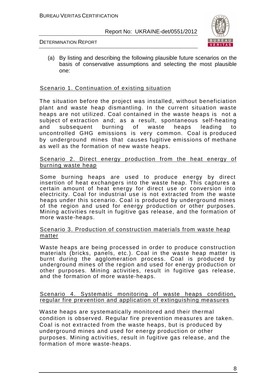

#### DETERMINATION REPORT

(a) By listing and describing the following plausible future scenarios on the basis of conservative assumptions and selecting the most plausible one:

### Scenario 1. Continuation of existing situation

The situation before the project was installed, without beneficiation plant and waste heap dismantling. In the current situation waste heaps are not utilized. Coal contained in the waste heaps is not a subject of extraction and; as a result, spontaneous self-heating and subsequent burning of waste heaps leading to uncontrolled GHG emissions is very common. Coal is produced by underground mines that causes fugitive emissions of methane as well as the formation of new waste heaps.

#### Scenario 2. Direct energy production from the heat energy of burning waste heap

Some burning heaps are used to produce energy by direct insertion of heat exchangers into the waste heap. This captures a certain amount of heat energy for direct use or conversion into electricity. Coal for industrial use is not extracted from the waste heaps under this scenario. Coal is produced by underground mines of the region and used for energy production or other purposes. Mining activities result in fugitive gas release, and the formation of more waste-heaps.

#### Scenario 3. Production of construction materials from waste heap matter

Waste heaps are being processed in order to produce construction materials (bricks, panels, etc.). Coal in the waste heap matter is burnt during the agglomeration process. Coal is produced by underground mines of the region and used for energy production or other purposes. Mining activities, result in fugitive gas release, and the formation of more waste-heaps.

#### Scenario 4. Systematic monitoring of waste heaps condition, regular fire prevention and application of extinguishing measures

Waste heaps are systematically monitored and their thermal condition is observed. Regular fire prevention measures are taken. Coal is not extracted from the waste heaps, but is produced by underground mines and used for energy production or other purposes. Mining activities, result in fugitive gas release, and the formation of more waste-heaps.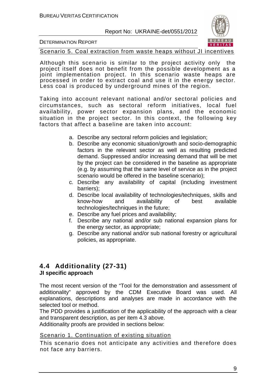

#### DETERMINATION REPORT

Scenario 5. Coal extraction from waste heaps without JI incentives

Although this scenario is similar to the project activity only the project itself does not benefit from the possible development as a joint implementation project. In this scenario waste heaps are processed in order to extract coal and use it in the energy sector. Less coal is produced by underground mines of the region.

Taking into account relevant national and/or sectoral policies and circumstances, such as sectoral reform initiatives, local fuel availability, power sector expansion plans, and the economic situation in the project sector. In this context, the following key factors that affect a baseline are taken into account:

- a. Describe any sectoral reform policies and legislation;
- b. Describe any economic situation/growth and socio-demographic factors in the relevant sector as well as resulting predicted demand. Suppressed and/or increasing demand that will be met by the project can be considered in the baseline as appropriate (e.g. by assuming that the same level of service as in the project scenario would be offered in the baseline scenario);
- c. Describe any availability of capital (including investment barriers);
- d. Describe local availability of technologies/techniques, skills and know-how and availability of best available technologies/techniques in the future;
- e. Describe any fuel prices and availability;
- f. Describe any national and/or sub national expansion plans for the energy sector, as appropriate;
- g. Describe any national and/or sub national forestry or agricultural policies, as appropriate.

## **4.4 Additionality (27-31)**

## **JI specific approach**

The most recent version of the "Tool for the demonstration and assessment of additionality" approved by the CDM Executive Board was used. All explanations, descriptions and analyses are made in accordance with the selected tool or method.

The PDD provides a justification of the applicability of the approach with a clear and transparent description, as per item 4.3 above.

Additionality proofs are provided in sections below:

## Scenario 1. Continuation of existing situation

This scenario does not anticipate any activities and therefore does not face any barriers.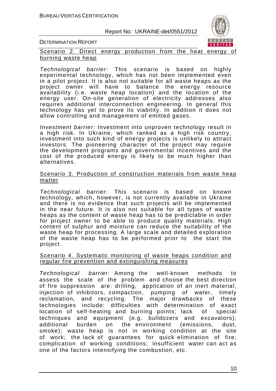

DETERMINATION REPORT

Scenario 2. Direct energy production from the heat energy of burning waste heap

Technological barrier: This scenario is based on highly experimental technology, which has not been implemented even in a pilot project. It is also not suitable for all waste heaps as the project owner will have to balance the energy resource availability (i.e. waste heap location) and the location of the energy user. On-site generation of electricity addresses also requires additional interconnection engineering. In general this technology has yet to prove its viability. In addition it does not allow controlling and management of emitted gases.

Investment barrier: Investment into unproven technology result in a high risk. In Ukraine, which ranked as a high risk country, investment into such kind of energy projects is unlikely to attract investors. The pioneering character of the project may require the development programs and governmental incentives and the cost of the produced energy is likely to be much higher than alternatives.

#### Scenario 3. Production of construction materials from waste heap matter

Technological barrier: This scenario is based on known technology, which, however, is not currently available in Ukraine and there is no evidence that such projects will be implemented in the near future. It is also not suitable for all types of waste heaps as the content of waste heap has to be predictable in order for project owner to be able to produce quality materials. High content of sulphur and moisture can reduce the suitability of the waste heap for processing. A large scale and detailed exploration of the waste heap has to be performed prior to the start the project.

#### Scenario 4. Systematic monitoring of waste heaps condition and regular fire prevention and extinguishing measures

Technological barrier: Among the well-known methods to assess the scale of the problem and choose the best direction of fire suppression are: drilling, application of an inert material, injection of inhibitors, compaction, pumping of water, timely reclamation, and recycling. The major drawbacks of these technologies include: difficulties with determination of exact location of self-heating and burning points; lack of special techniques and equipment (e.g. bulldozers and excavators); additional burden on the environment (emissions, dust, smoke); waste heap is not in working condition at the site of work; the lack of guarantees for quick elimination of fire; complication of working conditions; insufficient water can act as one of the factors intensifying the combustion, etc.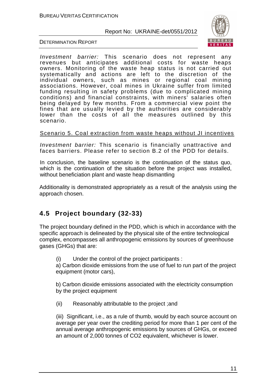

#### DETERMINATION REPORT

Investment barrier: This scenario does not represent any revenues but anticipates additional costs for waste heaps owners. Monitoring of the waste heap status is not carried out systematically and actions are left to the discretion of the individual owners, such as mines or regional coal mining associations. However, coal mines in Ukraine suffer from limited funding resulting in safety problems (due to complicated mining conditions) and financial constraints, with miners' salaries often being delayed by few months. From a commercial view point the fines that are usually levied by the authorities are considerably lower than the costs of all the measures outlined by this scenario.

### Scenario 5. Coal extraction from waste heaps without JI incentives

Investment barrier: This scenario is financially unattractive and faces barriers. Please refer to section B.2 of the PDD for details.

In conclusion, the baseline scenario is the continuation of the status quo, which is the continuation of the situation before the project was installed, without beneficiation plant and waste heap dismantling

Additionality is demonstrated appropriately as a result of the analysis using the approach chosen.

## **4.5 Project boundary (32-33)**

The project boundary defined in the PDD, which is which in accordance with the specific approach is delineated by the physical site of the entire technological complex, encompasses all anthropogenic emissions by sources of greenhouse gases (GHGs) that are:

(i) Under the control of the project participants :

a) Carbon dioxide emissions from the use of fuel to run part of the project equipment (motor cars),

b) Carbon dioxide emissions associated with the electricity consumption by the project equipment

(ii) Reasonably attributable to the project ;and

(iii) Significant, i.e., as a rule of thumb, would by each source account on average per year over the crediting period for more than 1 per cent of the annual average anthropogenic emissions by sources of GHGs, or exceed an amount of 2,000 tonnes of CO2 equivalent, whichever is lower.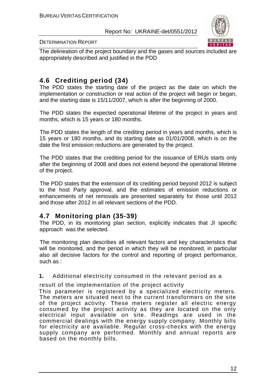

#### DETERMINATION REPORT

The delineation of the project boundary and the gases and sources included are appropriately described and justified in the PDD

## **4.6 Crediting period (34)**

The PDD states the starting date of the project as the date on which the implementation or construction or real action of the project will begin or began, and the starting date is 15/11/2007, which is after the beginning of 2000.

The PDD states the expected operational lifetime of the project in years and months, which is 15 years or 180 months.

The PDD states the length of the crediting period in years and months, which is 15 years or 180 months, and its starting date as 01/01/2008, which is on the date the first emission reductions are generated by the project.

The PDD states that the crediting period for the issuance of ERUs starts only after the beginning of 2008 and does not extend beyond the operational lifetime of the project.

The PDD states that the extension of its crediting period beyond 2012 is subject to the host Party approval, and the estimates of emission reductions or enhancements of net removals are presented separately for those until 2012 and those after 2012 in all relevant sections of the PDD.

## **4.7 Monitoring plan (35-39)**

The PDD, in its monitoring plan section, explicitly indicates that JI specific approach was the selected.

The monitoring plan describes all relevant factors and key characteristics that will be monitored, and the period in which they will be monitored, in particular also all decisive factors for the control and reporting of project performance, such as :

**1.** Additional electricity consumed in the relevant period as a

result of the implementation of the project activity

This parameter is registered by a specialized electricity meters. The meters are situated next to the current transformers on the site of the project activity. These meters register all electric energy consumed by the project activity as they are located on the only electrical input available on site. Readings are used in the commercial dealings with the energy supply company. Monthly bills for electricity are available. Regular cross-checks with the energy supply company are performed. Monthly and annual reports are based on the monthly bills.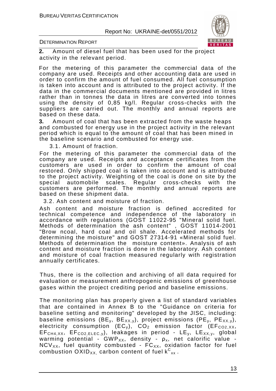

DETERMINATION REPORT

**2.** Amount of diesel fuel that has been used for the project activity in the relevant period.

For the metering of this parameter the commercial data of the company are used. Receipts and other accounting data are used in order to confirm the amount of fuel consumed. All fuel consumption is taken into account and is attributed to the project activity. If the data in the commercial documents mentioned are provided in litres rather than in tonnes the data in litres are converted into tonnes using the density of 0,85 kg/l. Regular cross-checks with the suppliers are carried out. The monthly and annual reports are based on these data.

**3.** Amount of coal that has been extracted from the waste heaps and combusted for energy use in the project activity in the relevant period which is equal to the amount of coal that has been mined in the baseline scenario and combusted for energy use.

3.1. Amount of fraction.

For the metering of this parameter the commercial data of the company are used. Receipts and acceptance certificates from the customers are used in order to confirm the amount of coal restored. Only shipped coal is taken into account and is attributed to the project activity. Weighting of the coal is done on site by the special automobile scales. Regular cross-checks with the customers are performed. The monthly and annual reports are based on these shipment data.

3.2. Ash content and moisture of fraction.

Ash content and moisture fraction is defined accredited for technical competence and independence of the laboratory in accordance with regulations (GOST 11022-95 "Mineral solid fuel. Methods of determination the ash content" , GOST 11014-2001 "Brow ncoal, hard coal and oil shale. Accelerated methods for determining the moisture" and GOST 27314-91 «Mineral solid fuel. Methods of determination the moisture content». Analysis of ash content and moisture fraction is done in the laboratory. Ash content and moisture of coal fraction measured regularly with registration annually certificates.

Thus, there is the collection and archiving of all data required for evaluation or measurement anthropogenic emissions of greenhouse gases within the project crediting period and baseline emissions.

The monitoring plan has properly given a list of standard variables that are contained in Annex B to the "Guidance on criteria for baseline setting and monitoring" developed by the JISC, including: baseline emissions (BE<sub>y</sub>, BE<sub>XX,y</sub>), project emissions (PE<sub>y</sub>, PE<sub>XX,y</sub>), electricity consumption  $(EC_v)$ ,  $CO_2$  emission factor  $(EF_{CO2,XX}$ ,  $EF<sub>CH4, XX</sub>$ ,  $EF<sub>CO2,ELEC,V</sub>$ , leakages in period -  $LE<sub>v</sub>$ ,  $LE<sub>XX,V</sub>$ , global warming potential - GWP<sub>XX</sub>, density -  $\rho_{x}$ , net calorific value - $NCV_{XX}$ , fuel quantity combusted -  $FC_{XX}$ , oxidation factor for fuel combustion  $\mathsf{OXID}_{\mathsf{XX}}$  carbon content of fuel  $\mathsf{k^C}_{\mathsf{xx}}$  .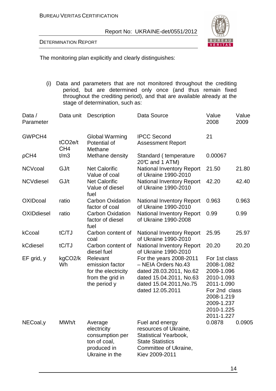#### DETERMINATION REPORT



The monitoring plan explicitly and clearly distinguishes:

(i) Data and parameters that are not monitored throughout the crediting period, but are determined only once (and thus remain fixed throughout the crediting period), and that are available already at the stage of determination, such as:

| Data /<br>Parameter | Data unit                              | <b>Description</b>                                                                         | Data Source                                                                                                                                         | Value<br>2008                                                                                                                                  | Value<br>2009 |
|---------------------|----------------------------------------|--------------------------------------------------------------------------------------------|-----------------------------------------------------------------------------------------------------------------------------------------------------|------------------------------------------------------------------------------------------------------------------------------------------------|---------------|
| GWPCH4              | tCO <sub>2e/t</sub><br>CH <sub>4</sub> | <b>Global Warming</b><br>Potential of<br>Methane                                           | <b>IPCC Second</b><br><b>Assessment Report</b>                                                                                                      | 21                                                                                                                                             |               |
| pCH4                | t/m3                                   | Methane density                                                                            | Standard (temperature<br>20°C and 1 ATM)                                                                                                            | 0.00067                                                                                                                                        |               |
| <b>NCVcoal</b>      | GJ/t                                   | <b>Net Calorific</b><br>Value of coal                                                      | <b>National Inventory Report</b><br>of Ukraine 1990-2010                                                                                            | 21.50                                                                                                                                          | 21.80         |
| <b>NCVdiesel</b>    | GJ/t                                   | <b>Net Calorific</b><br>Value of diesel<br>fuel                                            | <b>National Inventory Report</b><br>of Ukraine 1990-2010                                                                                            | 42.20                                                                                                                                          | 42.40         |
| <b>OXIDcoal</b>     | ratio                                  | <b>Carbon Oxidation</b><br>factor of coal                                                  | <b>National Inventory Report</b><br>of Ukraine 1990-2010                                                                                            | 0.963                                                                                                                                          | 0.963         |
| <b>OXIDdiesel</b>   | ratio                                  | <b>Carbon Oxidation</b><br>factor of diesel<br>fuel                                        | <b>National Inventory Report</b><br>of Ukraine 1990-2008                                                                                            | 0.99                                                                                                                                           | 0.99          |
| kCcoal              | tC/TJ                                  | Carbon content of<br>coal                                                                  | <b>National Inventory Report</b><br>of Ukraine 1990-2010                                                                                            | 25.95                                                                                                                                          | 25.97         |
| kCdiesel            | tC/TJ                                  | Carbon content of<br>diesel fuel                                                           | <b>National Inventory Report</b><br>of Ukraine 1990-2010                                                                                            | 20.20                                                                                                                                          | 20.20         |
| EF grid, y          | kgCO2/k<br>Wh                          | Relevant<br>emission factor<br>for the electricity<br>from the grid in<br>the period y     | For the years 2008-2011<br>- NEIA Orders No.43<br>dated 28.03.2011, No.62<br>dated 15.04.2011, No.63<br>dated 15.04.2011, No.75<br>dated 12.05.2011 | For 1st class<br>2008-1.082<br>2009-1.096<br>2010-1.093<br>2011-1.090<br>For 2nd class<br>2008-1.219<br>2009-1.237<br>2010-1.225<br>2011-1.227 |               |
| NECoal, y           | MWh/t                                  | Average<br>electricity<br>consumption per<br>ton of coal,<br>produced in<br>Ukraine in the | Fuel and energy<br>resources of Ukraine,<br>Statistical Yearbook,<br><b>State Statistics</b><br>Committee of Ukraine,<br>Kiev 2009-2011             | 0.0878                                                                                                                                         | 0.0905        |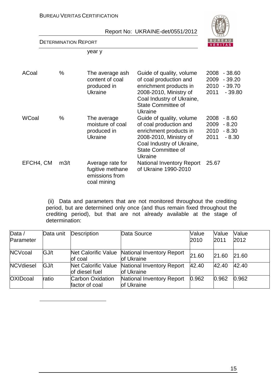

### DETERMINATION REPORT

 $\overline{a}$ 

year y

| ACoal     | $\%$ | The average ash<br>content of coal<br>produced in<br><b>Ukraine</b>   | Guide of quality, volume<br>of coal production and<br>enrichment products in<br>2008-2010, Ministry of<br>Coal Industry of Ukraine,<br><b>State Committee of</b><br>Ukraine | 2008<br>2009<br>2010<br>2011 | $-38.60$<br>$-39.20$<br>$-39.70$<br>$-39.80$ |
|-----------|------|-----------------------------------------------------------------------|-----------------------------------------------------------------------------------------------------------------------------------------------------------------------------|------------------------------|----------------------------------------------|
| WCoal     | %    | The average<br>moisture of coal<br>produced in<br><b>Ukraine</b>      | Guide of quality, volume<br>of coal production and<br>enrichment products in<br>2008-2010, Ministry of<br>Coal Industry of Ukraine,<br><b>State Committee of</b><br>Ukraine | 2008<br>2009<br>2010<br>2011 | $-8.60$<br>$-8.20$<br>$-8.30$<br>$-8.30$     |
| EFCH4, CM | m3/t | Average rate for<br>fugitive methane<br>emissions from<br>coal mining | <b>National Inventory Report</b><br>of Ukraine 1990-2010                                                                                                                    | 25.67                        |                                              |

 (ii) Data and parameters that are not monitored throughout the crediting period, but are determined only once (and thus remain fixed throughout the crediting period), but that are not already available at the stage of determination:

| Data $/$         | Data unit | Description                           | Data Source                              | Value | Value | Value |
|------------------|-----------|---------------------------------------|------------------------------------------|-------|-------|-------|
| Parameter        |           |                                       |                                          | 2010  | 2011  | 2012  |
| <b>NCVcoal</b>   | GJ/t      | Net Calorific Value<br>of coal        | National Inventory Report<br>of Ukraine  | 21.60 | 21.60 | 21.60 |
| <b>NCVdiesel</b> | GJ/t      | Net Calorific Value<br>of diesel fuel | National Inventory Report<br>lof Ukraine | 42.40 | 42.40 | 42.40 |
| <b>OXIDcoal</b>  | ratio     | Carbon Oxidation<br>factor of coal    | National Inventory Report<br>of Ukraine  | 0.962 | 0.962 | 0.962 |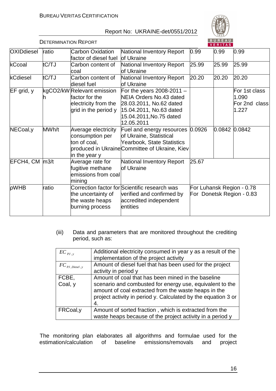

|                      | <b>DETERMINATION REPORT</b> |                                                                                              |                                                                                                                                                       |       | <b>BUREAU</b><br><b>VERITAS</b> |                                                        |
|----------------------|-----------------------------|----------------------------------------------------------------------------------------------|-------------------------------------------------------------------------------------------------------------------------------------------------------|-------|---------------------------------|--------------------------------------------------------|
| <b>OXIDdiesel</b>    | ratio                       | <b>Carbon Oxidation</b><br>factor of diesel fuel                                             | <b>National Inventory Report</b><br>of Ukraine                                                                                                        | 0.99  | 0.99                            | 0.99                                                   |
| kCcoal               | tC/TJ                       | Carbon content of<br>lcoal                                                                   | <b>National Inventory Report</b><br>of Ukraine                                                                                                        | 25.99 | 25.99                           | 25.99                                                  |
| kCdiesel             | tC/TJ                       | Carbon content of<br>ldiesel fuel                                                            | <b>National Inventory Report</b><br>of Ukraine                                                                                                        | 20.20 | 20.20                           | 20.20                                                  |
| $EF$ grid, $y$       |                             | kgCO2/kW Relevant emission<br>factor for the<br>electricity from the<br>grid in the period y | For the years 2008-2011 $-$<br>NEIA Orders No.43 dated<br>28.03.2011, No.62 dated<br>15.04.2011, No.63 dated<br>15.04.2011, No.75 dated<br>12.05.2011 |       |                                 | For 1st class<br>1.090<br>For 2nd class<br>1.227       |
| NECoal, y            | MWh/t                       | Average electricity<br>consumption per<br>ton of coal,<br>in the year y                      | Fuel and energy resources 0.0926<br>of Ukraine, Statistical<br>Yearbook, State Statistics<br>produced in Ukraine Committee of Ukraine, Kiev           |       | 0.0842                          | 0.0842                                                 |
| $EFCH4$ , CM $ m3/t$ |                             | Average rate for<br>fugitive methane<br>emissions from coal<br>mining                        | National Inventory Report<br>of Ukraine                                                                                                               | 25.67 |                                 |                                                        |
| pWHB                 | ratio                       | the uncertainty of<br>the waste heaps<br>burning process                                     | Correction factor for Scientific research was<br>verified and confirmed by<br>accredited independent<br>entities                                      |       |                                 | For Luhansk Region - 0.78<br>For Donetsk Region - 0.83 |

(iii) Data and parameters that are monitored throughout the crediting period, such as:

| $EC_{pJ, v}$                                  | Additional electricity consumed in year y as a result of the<br>implementation of the project activity                                                                            |
|-----------------------------------------------|-----------------------------------------------------------------------------------------------------------------------------------------------------------------------------------|
| $FC_{\textit{PI},\textit{Diesel},\textit{y}}$ | Amount of diesel fuel that has been used for the project<br>activity in period y                                                                                                  |
| FCBE,                                         | Amount of coal that has been mined in the baseline                                                                                                                                |
| Coal, y                                       | scenario and combusted for energy use, equivalent to the<br>amount of coal extracted from the waste heaps in the<br>project activity in period y. Calculated by the equation 3 or |
| FRCoal, y                                     | Amount of sorted fraction, which is extracted from the<br>waste heaps because of the project activity in a period y                                                               |

The monitoring plan elaborates all algorithms and formulae used for the estimation/calculation of baseline emissions/removals and project estimation/calculation of baseline emissions/removals and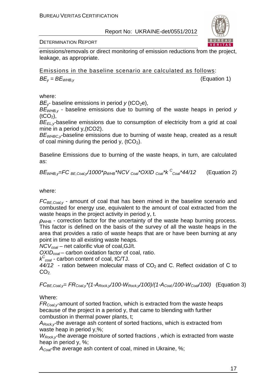

DETERMINATION REPORT

emissions/removals or direct monitoring of emission reductions from the project, leakage, as appropriate.

Emissions in the baseline scenario are calculated as follows:

 $BE_v = BE_{WHR}$ , (Equation 1)

where:

 $BE_V$ - baseline emissions in period  $y$  (tCO<sub>2</sub>e),

 $BE_{WHR}$ , - baseline emissions due to burning of the waste heaps in period v  $(tCO<sub>2</sub>)$ ,

 $BE_{ELV}$ -baseline emissions due to consumption of electricity from a grid at coal mine in a period y,(tCO2).

 $BE<sub>WHBCV</sub>$ -baseline emissions due to burning of waste heap, created as a result of coal mining during the period y,  $(tCO<sub>2</sub>)$ .

Baseline Emissions due to burning of the waste heaps, in turn, are calculated as:

$$
BE_{\text{WHB,y}} = FC_{BE,Coal,y}/1000^* \rho_{\text{WHB}}^* NCV_{Coal}^* OXID_{Coal}^* k^C_{Coal}^* 44/12
$$
 (Equation 2)

where:

 $FC_{BE,Coaly}$  - amount of coal that has been mined in the baseline scenario and combusted for energy use, equivalent to the amount of coal extracted from the waste heaps in the project activity in period y, t.

 $ρ<sub>WHB</sub>$  - correction factor for the uncertainty of the waste heap burning process. This factor is defined on the basis of the survey of all the waste heaps in the area that provides a ratio of waste heaps that are or have been burning at any point in time to all existing waste heaps.

NCV*с*oal – net calorific vlue of coal,GJ/t.

OXID*с*oal – carbon oxidation factor of coal, ratio.

k C *<sup>с</sup>*oal - carbon content of coal, tС/TJ.

 $44/12$  - ration between molecular mass of CO<sub>2</sub> and C. Reflect oxidation of C to  $CO<sub>2</sub>$ 

 $FC_{BE,Coal,v} = FR_{Coal,v}*(1-A_{Rock,v}/100-W_{Rock,v}/100)/(1-A_{Coal}/100-W_{Coal}/100)$  (Equation 3)

Where:

 $FR_{\text{Coal},v}$ -amount of sorted fraction, which is extracted from the waste heaps because of the project in a period y, that came to blending with further combustion in thermal power plants, t;

 $A_{Rock}$ , the average ash content of sorted fractions, which is extracted from waste heap in period y,%;

 $W_{RockV}$ the average moisture of sorted fractions, which is extracted from waste heap in period y, %;

 $A_{\text{Coar}}$ the average ash content of coal, mined in Ukraine, %;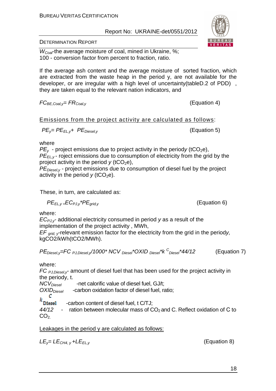DETERMINATION REPORT

 $W_{Coar}$ the average moisture of coal, mined in Ukraine, %; 100 - conversion factor from percent to fraction, ratio.

If the average ash content and the average moisture of sorted fraction, which are extracted from the waste heap in the period y, are not available for the developer, or are irregular with a high level of uncertainty(tableD.2 of PDD) , they are taken equal to the relevant nation indicators, and

$$
FC_{BE,Coal,y}=FR_{Coal,y}
$$

Emissions from the project activity are calculated as follows:

$$
PE_{y} = PE_{EL,y} + PE_{Diesel,y}
$$
 (Equation 5)

where

 $PE<sub>v</sub>$  - project emissions due to project activity in the periody (tCO<sub>2</sub>e),  $P\vec{E}_{F}$ ,  $\vec{v}$ - roject emissions due to consumption of electricity from the grid by the project activity in the period  $y$  (tCO<sub>2</sub>e),

 $PE_{\text{Diesel,v}}$  - project emissions due to consumption of diesel fuel by the project activity in the period  $y$  (tCO<sub>2</sub>e).

These, in turn, are calculated as:

$$
PE_{EL,y} \_E C_{PJ,y} * PE_{grid,y}
$$

where:

 $EC_{P,IV}$  additional electricity consumed in period y as a result of the implementation of the project activity , MWh,

 $EF_{\text{grid}}$ , relevant emission factor for the electricity from the grid in the periody, kgCO2/kWh(tCO2/MWh).

$$
PEDiese, y=FCPJ,Diese, y/1000*NCVDiesel*OXIDDiesel*kCDiesel*44/12
$$
 (Equation 7)

where:

FC  $_{P,J,Diesel,y}$  amount of diesel fuel that has been used for the project activity in the periody, t.

 $NCV<sub>Diesel</sub>$  -net calorific value of diesel fuel, GJ/t;

 $OXID<sub>Diesel</sub>$  -carbon oxidation factor of diesel fuel, ratio;

$$
k
$$
 **Di**esel -carbon content of diesel fuel, t C/TJ;

 $44/12$  - ration between molecular mass of CO<sub>2</sub> and C. Reflect oxidation of C to  $CO<sub>2</sub>$ 

Leakages in the period y are calculated as follows:

 $LE<sub>v</sub>=LE<sub>CH4, v</sub>+LE<sub>EL, v</sub>$  (Equation 8)



 $(Fquation 4)$ 

 $(Equation 6)$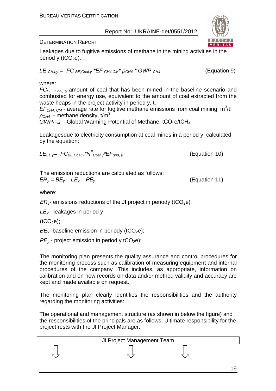

(Equation 9)

DETERMINATION REPORT

Leakages due to fugitive emissions of methane in the mining activities in the period y ( $tCO<sub>2</sub>e$ ).

$$
LE_{CH4,y} = -FC_{BE,Coal,y} * EF_{CH4,CM} * \rho_{CH4} * GWP_{CH4}
$$

### where:

 $FC_{BE, coal, y$ -amount of coal that has been mined in the baseline scenario and combusted for energy use, equivalent to the amount of coal extracted from the waste heaps in the project activity in period y, t.

 $EF<sub>CH4, CM</sub>$  - average rate for fugitive methane emissions from coal mining, m<sup>3</sup>/t;  $\rho_{CH4}$  - methane density, t/m<sup>3</sup>;

 $GWP<sub>CH4</sub>$  - Global Warming Potential of Methane, tCO<sub>2</sub>e/tCH<sub>4</sub>

Leakagesdue to electricity consumption at coal mines in a period y, calculated by the equation:

$$
LE_{EL, y} = -FC_{BE, coal, y} * N^{E}{}_{Coal, y} * EF_{grid, y}
$$
 (Equation 10)

The emission reductions are calculated as follows:  $ER_y = BE_y - LE_y - PE_y$  (Equation 11)

where:

*ER<sub>V</sub>*- emissions reductions of the JI project in periody (tCO<sub>2</sub>e)

 $LE<sub>v</sub>$  - leakages in period v

 $(tCO<sub>2</sub>e)$ ;

 $BE<sub>v</sub>$  baseline emission in periody (tCO<sub>2</sub>e);

 $PE<sub>v</sub>$  - project emission in period y tCO<sub>2</sub>e);

The monitoring plan presents the quality assurance and control procedures for the monitoring process such as calibration of measuring equipment and internal procedures of the company .This includes, as appropriate, information on calibration and on how records on data and/or method validity and accuracy are kept and made available on request.

The monitoring plan clearly identifies the responsibilities and the authority regarding the monitoring activities:

The operational and management structure (as shown in below the figure) and the responsibilities of the principals are as follows. Ultimate responsibility for the project rests with the JI Project Manager.

| JI Project Management Team |  |
|----------------------------|--|
|                            |  |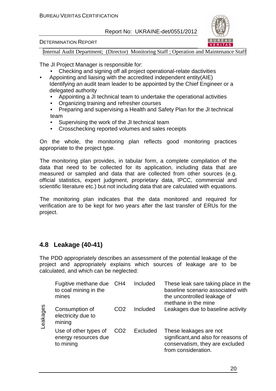

#### DETERMINATION REPORT

Internal Audit Department; (Director) Monitoring Staff ; Operation and Maintenance Staff

The JI Project Manager is responsible for:

- Checking and signing off all project operational-relate dactivities
- Appointing and liaising with the accredited independent entity(AIE) Identifying an audit team leader to be appointed by the Chief Engineer or a delegated authority
	- Appointing a JI technical team to undertake the operational activities
	- Organizing training and refresher courses
	- Preparing and supervising a Health and Safety Plan for the JI technical team
	- Supervising the work of the JI technical team
	- Crosschecking reported volumes and sales receipts

On the whole, the monitoring plan reflects good monitoring practices appropriate to the project type.

The monitoring plan provides, in tabular form, a complete compilation of the data that need to be collected for its application, including data that are measured or sampled and data that are collected from other sources (e.g. official statistics, expert judgment, proprietary data, IPCC, commercial and scientific literature etc.) but not including data that are calculated with equations.

The monitoring plan indicates that the data monitored and required for verification are to be kept for two years after the last transfer of ERUs for the project.

## **4.8 Leakage (40-41)**

The PDD appropriately describes an assessment of the potential leakage of the project and appropriately explains which sources of leakage are to be calculated, and which can be neglected:

| Leakages | Fugitive methane due CH4<br>to coal mining in the<br>mines |                 | Included        | These leak sare taking place in the<br>baseline scenario associated with<br>the uncontrolled leakage of<br>methane in the mine |
|----------|------------------------------------------------------------|-----------------|-----------------|--------------------------------------------------------------------------------------------------------------------------------|
|          | Consumption of<br>electricity due to<br>mining             | CO <sub>2</sub> | Included        | Leakages due to baseline activity                                                                                              |
|          | Use of other types of<br>energy resources due<br>to mining | CO <sub>2</sub> | <b>Excluded</b> | These leakages are not<br>significant, and also for reasons of<br>conservatism, they are excluded<br>from consideration.       |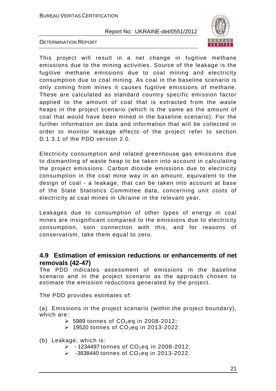

DETERMINATION REPORT

This project will result in a net change in fugitive methane emissions due to the mining activities. Source of the leakage is the fugitive methane emissions due to coal mining and electricity consumption due to coal mining. As coal in the baseline scenario is only coming from mines it causes fugitive emissions of methane. These are calculated as standard country specific emission factor applied to the amount of coal that is extracted from the waste heaps in the project scenario (which is the same as the amount of coal that would have been mined in the baseline scenario). For the further information on data and information that will be collected in order to monitor leakage effects of the project refer to section D.1.3.1 of the PDD version 2.0.

Electricity consumption and related greenhouse gas emissions due to dismantling of waste heap to be taken into account in calculating the project emissions. Carbon dioxide emissions due to electricity consumption in the coal mine way in an amount, equivalent to the design of coal - a leakage, that can be taken into account at base of the State Statistics Committee data, concerning unit costs of electricity at coal mines in Ukraine in the relevant year.

Leakages due to consumption of other types of energy in coal mines are insignificant compared to the emissions due to electricity consumption, soin connection with this, and for reasons of conservatism, take them equal to zero.

## **4.9 Estimation of emission reductions or enhancements of net removals (42-47)**

The PDD indicates assessment of emissions in the baseline scenario and in the project scenario as the approach chosen to estimate the emission reductions generated by the project.

The PDD provides estimates of:

(a) Emissions in the project scenario (within the project boundary), which are:

- $\triangleright$  5989 tonnes of CO<sub>2</sub>eq in 2008-2012;
- $\geq$  19520 tonnes of CO<sub>2</sub>eq in 2013-2022.
- (b) Leakage, which is:
	- $>$  1234497 tonnes of CO<sub>2</sub>eq in 2008-2012;
	- $>$  -3838440 tonnes of  $CO_2$ eq in 2013-2022.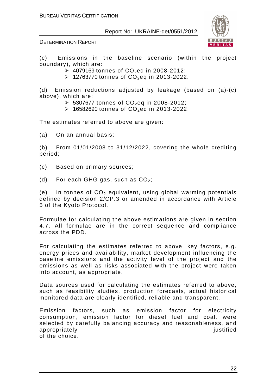

#### DETERMINATION REPORT

(c) Emissions in the baseline scenario (within the project boundary), which are:

**→ 4079169 tonnes of CO<sub>2</sub>eq in 2008-2012;** 

 $\geq$  12763770 tonnes of CO<sub>2</sub>eq in 2013-2022.

(d) Emission reductions adjusted by leakage (based on (a)-(c) above), which are:

- $\geq$  5307677 tonnes of CO<sub>2</sub>eq in 2008-2012;
- $\geq$  16582690 tonnes of CO<sub>2</sub>eq in 2013-2022.

The estimates referred to above are given:

(a) On an annual basis;

(b) From 01/01/2008 to 31/12/2022, covering the whole crediting period;

- (c) Based on primary sources;
- (d) For each GHG gas, such as  $CO<sub>2</sub>$ ;

(e) In tonnes of  $CO<sub>2</sub>$  equivalent, using global warming potentials defined by decision 2/CP.3 or amended in accordance with Article 5 of the Kyoto Protocol.

Formulae for calculating the above estimations are given in section 4.7. All formulae are in the correct sequence and compliance across the PDD.

For calculating the estimates referred to above, key factors, e.g. energy prices and availability, market development influencing the baseline emissions and the activity level of the project and the emissions as well as risks associated with the project were taken into account, as appropriate.

Data sources used for calculating the estimates referred to above, such as feasibility studies, production forecasts, actual historical monitored data are clearly identified, reliable and transparent.

Emission factors, such as emission factor for electricity consumption, emission factor for diesel fuel and coal, were selected by carefully balancing accuracy and reasonableness, and appropriately in the set of the set of the set of the set of the set of the set of the set of the set of the s of the choice.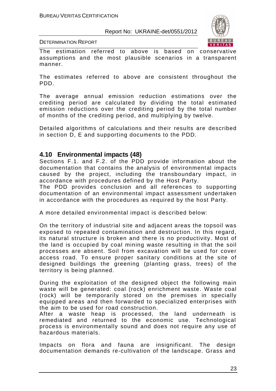

DETERMINATION REPORT

The estimation referred to above is based on conservative assumptions and the most plausible scenarios in a transparent manner.

The estimates referred to above are consistent throughout the PDD.

The average annual emission reduction estimations over the crediting period are calculated by dividing the total estimated emission reductions over the crediting period by the total number of months of the crediting period, and multiplying by twelve.

Detailed algorithms of calculations and their results are described in section D, E and supporting documents to the PDD.

## **4.10 Environmental impacts (48)**

Sections F.1. and F.2. of the PDD provide information about the documentation that contains the analysis of environmental impacts caused by the project, including the transboundary impact, in accordance with procedures defined by the Host Party.

The PDD provides conclusion and all references to supporting documentation of an environmental impact assessment undertaken in accordance with the procedures as required by the host Party.

A more detailed environmental impact is described below:

On the territory of industrial site and adjacent areas the topsoil was exposed to repeated contamination and destruction. In this regard, its natural structure is broken and there is no productivity. Most of the land is occupied by coal mining waste resulting in that the soil processes are absent. Soil from excavation will be used for cover access road. To ensure proper sanitary conditions at the site of designed buildings the greening (planting grass, trees) of the territory is being planned.

During the exploitation of the designed object the following main waste will be generated: coal (rock) enrichment waste. Waste coal (rock) will be temporarily stored on the premises in specially equipped areas and then forwarded to specialized enterprises with the aim to be used for road construction.

After a waste heap is processed, the land underneath is remediated and returned to the economic use. Technological process is environmentally sound and does not require any use of hazardous materials.

Impacts on flora and fauna are insignificant. The design documentation demands re-cultivation of the landscape. Grass and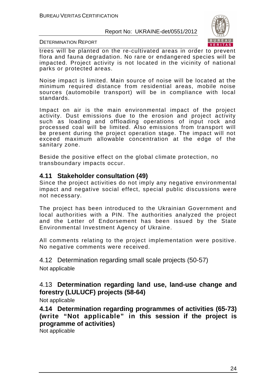

DETERMINATION REPORT

trees will be planted on the re-cultivated areas in order to prevent flora and fauna degradation. No rare or endangered species will be impacted. Project activity is not located in the vicinity of national parks or protected areas.

Noise impact is limited. Main source of noise will be located at the minimum required distance from residential areas, mobile noise sources (automobile transport) will be in compliance with local standards.

Impact on air is the main environmental impact of the project activity. Dust emissions due to the erosion and project activity such as loading and offloading operations of input rock and processed coal will be limited. Also emissions from transport will be present during the project operation stage. The impact will not exceed maximum allowable concentration at the edge of the sanitary zone.

Beside the positive effect on the global climate protection, no transboundary impacts occur.

## **4.11 Stakeholder consultation (49)**

Since the project activities do not imply any negative environmental impact and negative social effect, special public discussions were not necessary.

The project has been introduced to the Ukrainian Government and local authorities with a PIN. The authorities analyzed the project and the Letter of Endorsement has been issued by the State Environmental Investment Agency of Ukraine.

All comments relating to the project implementation were positive. No negative comments were received.

4.12 Determination regarding small scale projects (50-57)

Not applicable

## 4.13 **Determination regarding land use, land-use change and forestry (LULUCF) projects (58-64)**

Not applicable

**4.14 Determination regarding programmes of activities (65-73) (write "Not applicable" in this session if the project is programme of activities)** 

Not applicable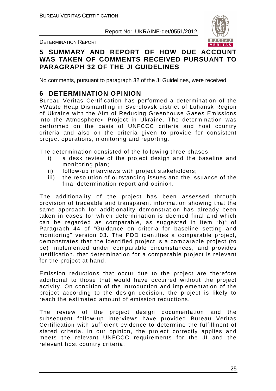

DETERMINATION REPORT

## **5 SUMMARY AND REPORT OF HOW DUE ACCOUNT WAS TAKEN OF COMMENTS RECEIVED PURSUANT TO PARAGRAPH 32 OF THE JI GUIDELINES**

No comments, pursuant to paragraph 32 of the JI Guidelines, were received

## **6 DETERMINATION OPINION**

Bureau Veritas Certification has performed a determination of the «Waste Heap Dismantling in Sverdlovsk district of Luhansk Region of Ukraine with the Aim of Reducing Greenhouse Gases Emissions into the Atmosphere» Project in Ukraine. The determination was performed on the basis of UNFCCC criteria and host country criteria and also on the criteria given to provide for consistent project operations, monitoring and reporting.

The determination consisted of the following three phases:

- i) a desk review of the project design and the baseline and monitoring plan;
- ii) follow-up interviews with project stakeholders;
- iii) the resolution of outstanding issues and the issuance of the final determination report and opinion.

The additionality of the project has been assessed through provision of traceable and transparent information showing that the same approach for additionality demonstration has already been taken in cases for which determination is deemed final and which can be regarded as comparable, as suggested in item "b)" of Paragraph 44 of "Guidance on criteria for baseline setting and monitoring" version 03. The PDD identifies a comparable project, demonstrates that the identified project is a comparable project (to be) implemented under comparable circumstances, and provides justification, that determination for a comparable project is relevant for the project at hand.

Emission reductions that occur due to the project are therefore additional to those that would have occurred without the project activity. On condition of the introduction and implementation of the project according to the design decision, the project is likely to reach the estimated amount of emission reductions.

The review of the project design documentation and the subsequent follow-up interviews have provided Bureau Veritas Certification with sufficient evidence to determine the fulfillment of stated criteria. In our opinion, the project correctly applies and meets the relevant UNFCCC requirements for the JI and the relevant host country criteria.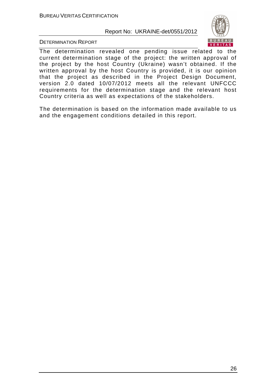

DETERMINATION REPORT

The determination revealed one pending issue related to the current determination stage of the project: the written approval of the project by the host Country (Ukraine) wasn't obtained. If the written approval by the host Country is provided, it is our opinion that the project as described in the Project Design Document, version 2.0 dated 10/07/2012 meets all the relevant UNFCCC requirements for the determination stage and the relevant host Country criteria as well as expectations of the stakeholders.

The determination is based on the information made available to us and the engagement conditions detailed in this report.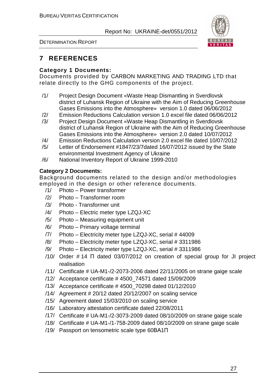

DETERMINATION REPORT

## **7 REFERENCES**

## **Category 1 Documents:**

Documents provided by СARBON MARKETING AND TRADING LTD that relate directly to the GHG components of the project.

- /1/ Project Design Document «Waste Heap Dismantling in Sverdlovsk district of Luhansk Region of Ukraine with the Aim of Reducing Greenhouse Gases Emissions into the Atmosphere» version 1.0 dated 06/06/2012
- /2/ Emission Reductions Calculation version 1.0 excel file dated 06/06/2012
- /3/ Project Design Document «Waste Heap Dismantling in Sverdlovsk district of Luhansk Region of Ukraine with the Aim of Reducing Greenhouse Gases Emissions into the Atmosphere» version 2.0 dated 10/07/2012
- /4/ Emission Reductions Calculation version 2.0 excel file dated 10/07/2012
- /5/ Letter of Endorsement #1847/23/7dated 16/07/2012 issued by the State environmental Investment Agency of Ukraine
- /6/ National Inventory Report of Ukraine 1999-2010

## **Category 2 Documents:**

Background documents related to the design and/or methodologies employed in the design or other reference documents.

- /1/ Photo Power transformer
- /2/ Photo Transformer room
- /3/ Photo Transformer unit
- /4/ Photo Electric meter type LZQJ-XC
- /5/ Photo Measuring equipment unit
- /6/ Photo Primary voltage terminal
- /7/ Photo Electricity meter type LZQJ-XC, serial # 44009
- /8/ Photo Electricity meter type LZQJ-XC, serial # 3311986
- /9/ Photo Electricity meter type LZQJ-XC, serial # 3311986
- /10/ Order # 14 П dated 03/07/2012 on creation of special group for JI project realisation
- /11/ Certificate # UA-M1-/2-2073-2006 dated 22/11/2005 on strane gaige scale
- /12/ Acceptance certificate # 4500\_74571 dated 15/09/2009
- /13/ Acceptance certificate # 4500\_70298 dated 01/12/2010
- /14/ Agreement # 20/12 dated 20/12/2007 on scaling service
- /15/ Agreement dated 15/03/2010 on scaling service
- /16/ Laboratory attestation certificate dated 22/08/2011
- /17/ Certificate # UA-M1-/2-3073-2009 dated 08/10/2009 on strane gaige scale
- /18/ Certificate # UA-M1-/1-758-2009 dated 08/10/2009 on strane gaige scale
- /19/ Passport on tensometric scale type 60ВА1П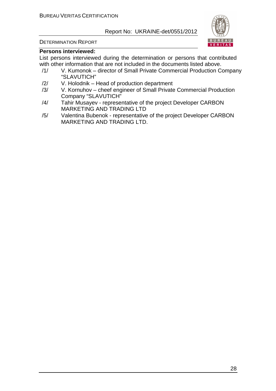

#### DETERMINATION REPORT

#### **Persons interviewed:**

List persons interviewed during the determination or persons that contributed with other information that are not included in the documents listed above.

- /1/ V. Kumonok director of Small Private Commercial Production Company "SLAVUTICH"
- /2/ V. Holodnik Head of production department
- /3/ V. Kornuhov cheef engineer of Small Private Commercial Production Company "SLAVUTICH"
- /4/ Tahir Musayev representative of the project Developer СARBON MARKETING AND TRADING LTD
- /5/ Valentina Bubenok representative of the project Developer СARBON MARKETING AND TRADING LTD.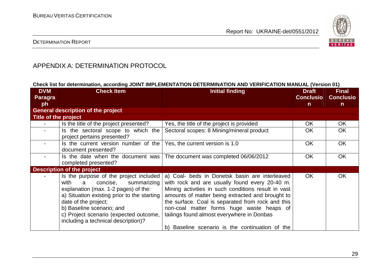

## DETERMINATION REPORT

## APPENDIX A: DETERMINATION PROTOCOL

#### **Check list for determination, according JOINT IMPLEMENTATION DETERMINATION AND VERIFICATION MANUAL (Version 01)**

| <b>DVM</b>           | <b>Check Item</b>                               | <b>Initial finding</b>                              | <b>Draft</b>     | <b>Final</b>     |
|----------------------|-------------------------------------------------|-----------------------------------------------------|------------------|------------------|
| <b>Paragra</b>       |                                                 |                                                     | <b>Conclusio</b> | <b>Conclusio</b> |
| ph                   |                                                 |                                                     | $\mathsf{n}$     | $\mathsf{n}$     |
|                      | <b>General description of the project</b>       |                                                     |                  |                  |
| Title of the project |                                                 |                                                     |                  |                  |
|                      | Is the title of the project presented?          | Yes, the title of the project is provided           | OK               | <b>OK</b>        |
|                      | Is the sectoral scope to which the              | Sectoral scopes: 8 Mining/mineral product           | OK.              | OK.              |
|                      | project pertains presented?                     |                                                     |                  |                  |
|                      | Is the current version number of the            | Yes, the current version is 1.0                     | <b>OK</b>        | <b>OK</b>        |
|                      | document presented?                             |                                                     |                  |                  |
|                      | Is the date when the document was               | The document was completed 06/06/2012               | <b>OK</b>        | <b>OK</b>        |
|                      | completed presented?                            |                                                     |                  |                  |
|                      | Description of the project                      |                                                     |                  |                  |
|                      | Is the purpose of the project included          | a) Coal- beds in Donetsk basin are interleaved      | <b>OK</b>        | <b>OK</b>        |
|                      | $\mathsf{a}$<br>concise,<br>with<br>summarizing | with rock and are usually found every 20-40 m.      |                  |                  |
|                      | explanation (max. 1-2 pages) of the:            | Mining activities in such conditions result in vast |                  |                  |
|                      | a) Situation existing prior to the starting     | amounts of matter being extracted and brought to    |                  |                  |
|                      | date of the project;                            | the surface. Coal is separated from rock and this   |                  |                  |
|                      | b) Baseline scenario; and                       | non-coal matter forms huge waste heaps of           |                  |                  |
|                      | c) Project scenario (expected outcome,          | tailings found almost everywhere in Donbas          |                  |                  |
|                      | including a technical description)?             |                                                     |                  |                  |
|                      |                                                 | b) Baseline scenario is the continuation of the     |                  |                  |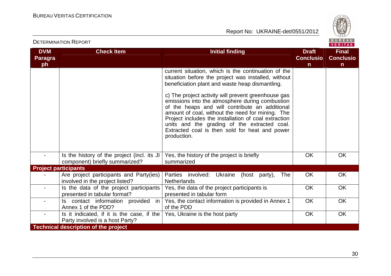

| PETERMINATIVN INEPURT<br><b>VERITAS</b> |                                                                               |                                                                                                                                                                                                                                                                                                                                                                                                                                                                                                                                                        |                                                  |                                                  |  |
|-----------------------------------------|-------------------------------------------------------------------------------|--------------------------------------------------------------------------------------------------------------------------------------------------------------------------------------------------------------------------------------------------------------------------------------------------------------------------------------------------------------------------------------------------------------------------------------------------------------------------------------------------------------------------------------------------------|--------------------------------------------------|--------------------------------------------------|--|
| <b>DVM</b><br><b>Paragra</b><br>ph      | <b>Check Item</b>                                                             | <b>Initial finding</b>                                                                                                                                                                                                                                                                                                                                                                                                                                                                                                                                 | <b>Draft</b><br><b>Conclusio</b><br>$\mathsf{n}$ | <b>Final</b><br><b>Conclusio</b><br>$\mathsf{n}$ |  |
|                                         |                                                                               | current situation, which is the continuation of the<br>situation before the project was installed, without<br>beneficiation plant and waste heap dismantling.<br>c) The project activity will prevent greenhouse gas<br>emissions into the atmosphere during combustion<br>of the heaps and will contribute an additional<br>amount of coal, without the need for mining. The<br>Project includes the installation of coal extraction<br>units and the grading of the extracted coal.<br>Extracted coal is then sold for heat and power<br>production. |                                                  |                                                  |  |
|                                         | Is the history of the project (incl. its JI<br>component) briefly summarized? | Yes, the history of the project is briefly<br>summarized                                                                                                                                                                                                                                                                                                                                                                                                                                                                                               | <b>OK</b>                                        | <b>OK</b>                                        |  |
| <b>Project participants</b>             |                                                                               |                                                                                                                                                                                                                                                                                                                                                                                                                                                                                                                                                        |                                                  |                                                  |  |
|                                         | Are project participants and Party(ies)<br>involved in the project listed?    | Parties involved: Ukraine (host party),<br>The<br><b>Netherlands</b>                                                                                                                                                                                                                                                                                                                                                                                                                                                                                   | <b>OK</b>                                        | OK                                               |  |
|                                         | Is the data of the project participants<br>presented in tabular format?       | Yes, the data of the project participants is<br>presented in tabular form                                                                                                                                                                                                                                                                                                                                                                                                                                                                              | OK                                               | OK                                               |  |
| $\blacksquare$                          | Is contact information provided<br>in<br>Annex 1 of the PDD?                  | Yes, the contact information is provided in Annex 1<br>of the PDD                                                                                                                                                                                                                                                                                                                                                                                                                                                                                      | OK                                               | <b>OK</b>                                        |  |
| $\blacksquare$                          | Is it indicated, if it is the case, if the<br>Party involved is a host Party? | Yes, Ukraine is the host party                                                                                                                                                                                                                                                                                                                                                                                                                                                                                                                         | <b>OK</b>                                        | OK                                               |  |
|                                         | <b>Technical description of the project</b>                                   |                                                                                                                                                                                                                                                                                                                                                                                                                                                                                                                                                        |                                                  |                                                  |  |

DETERMINATION REPORT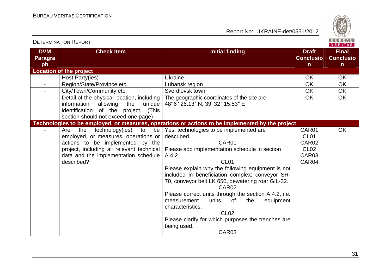

| <b>DETERMINATION REPORT</b>        |                                                                                                                                                                                                                          | BUREAU<br><b>VERITAS</b>                                                                                                                                                                                                                                                                                                                                                                                                                                                                                                                                   |                                                                     |                                                  |
|------------------------------------|--------------------------------------------------------------------------------------------------------------------------------------------------------------------------------------------------------------------------|------------------------------------------------------------------------------------------------------------------------------------------------------------------------------------------------------------------------------------------------------------------------------------------------------------------------------------------------------------------------------------------------------------------------------------------------------------------------------------------------------------------------------------------------------------|---------------------------------------------------------------------|--------------------------------------------------|
| <b>DVM</b><br><b>Paragra</b><br>ph | <b>Check Item</b>                                                                                                                                                                                                        | <b>Initial finding</b>                                                                                                                                                                                                                                                                                                                                                                                                                                                                                                                                     | <b>Draft</b><br><b>Conclusio</b><br>$\mathbf n$                     | <b>Final</b><br><b>Conclusio</b><br>$\mathsf{n}$ |
|                                    | <b>Location of the project</b>                                                                                                                                                                                           |                                                                                                                                                                                                                                                                                                                                                                                                                                                                                                                                                            |                                                                     |                                                  |
| $\blacksquare$                     | Host Party(ies)                                                                                                                                                                                                          | <b>Ukraine</b>                                                                                                                                                                                                                                                                                                                                                                                                                                                                                                                                             | <b>OK</b>                                                           | <b>OK</b>                                        |
| $\blacksquare$                     | Region/State/Province etc.                                                                                                                                                                                               | Luhansk region                                                                                                                                                                                                                                                                                                                                                                                                                                                                                                                                             | <b>OK</b>                                                           | <b>OK</b>                                        |
| $\blacksquare$                     | City/Town/Community etc.                                                                                                                                                                                                 | Sverdlovsk town                                                                                                                                                                                                                                                                                                                                                                                                                                                                                                                                            | OK                                                                  | <b>OK</b>                                        |
| $\sim$                             | Detail of the physical location, including<br>information<br>allowing<br>the<br>unique<br>identification of the project. (This<br>section should not exceed one page)                                                    | The geographic coordinates of the site are:<br>48°6' 26.13" N, 39°32' 15.53" E                                                                                                                                                                                                                                                                                                                                                                                                                                                                             | <b>OK</b>                                                           | <b>OK</b>                                        |
|                                    |                                                                                                                                                                                                                          | Technologies to be employed, or measures, operations or actions to be implemented by the project                                                                                                                                                                                                                                                                                                                                                                                                                                                           |                                                                     |                                                  |
|                                    | technology(ies)<br>be<br>the<br>to<br>Are<br>employed, or measures, operations or<br>actions to be implemented by the<br>project, including all relevant technical<br>data and the implementation schedule<br>described? | Yes, technologies to be implemented are<br>described.<br>CAR01<br>Please add implementation schedule in section<br>A.4.2.<br>CL <sub>01</sub><br>Please explain why the following equipment is not<br>included in beneficiation complex: conveyor SR-<br>70, conveyor belt LK 650, dewatering roar GIL-32.<br>CAR <sub>02</sub><br>Please correct units through the section A.4.2, i.e.<br>units<br>the<br>equipment<br>measurement<br>0f<br>characteristics.<br><b>CL02</b><br>Please clarify for which purposes the trenches are<br>being used.<br>CAR03 | CAR01<br>CL <sub>01</sub><br>CAR02<br><b>CL02</b><br>CAR03<br>CAR04 | <b>OK</b>                                        |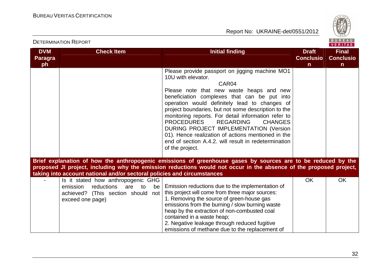

|                              |                                                                         |                                                                                                                    |                                  | <b>VERITAS</b>                   |
|------------------------------|-------------------------------------------------------------------------|--------------------------------------------------------------------------------------------------------------------|----------------------------------|----------------------------------|
| <b>DVM</b><br><b>Paragra</b> | <b>Check Item</b>                                                       | <b>Initial finding</b>                                                                                             | <b>Draft</b><br><b>Conclusio</b> | <b>Final</b><br><b>Conclusio</b> |
| ph                           |                                                                         |                                                                                                                    | $\mathsf{n}$                     | $\mathsf{n}$                     |
|                              |                                                                         | Please provide passport on jigging machine MO1                                                                     |                                  |                                  |
|                              |                                                                         | 10U with elevator.                                                                                                 |                                  |                                  |
|                              |                                                                         | CAR04                                                                                                              |                                  |                                  |
|                              |                                                                         | Please note that new waste heaps and new                                                                           |                                  |                                  |
|                              |                                                                         | beneficiation complexes that can be put into                                                                       |                                  |                                  |
|                              |                                                                         | operation would definitely lead to changes of                                                                      |                                  |                                  |
|                              |                                                                         | project boundaries, but not some description to the                                                                |                                  |                                  |
|                              |                                                                         | monitoring reports. For detail information refer to                                                                |                                  |                                  |
|                              |                                                                         | <b>PROCEDURES</b><br><b>REGARDING</b><br><b>CHANGES</b>                                                            |                                  |                                  |
|                              |                                                                         | DURING PROJECT IMPLEMENTATION (Version                                                                             |                                  |                                  |
|                              |                                                                         | 01). Hence realization of actions mentioned in the                                                                 |                                  |                                  |
|                              |                                                                         | end of section A.4.2. will result in redetermination                                                               |                                  |                                  |
|                              |                                                                         | of the project.                                                                                                    |                                  |                                  |
|                              |                                                                         |                                                                                                                    |                                  |                                  |
|                              |                                                                         | Brief explanation of how the anthropogenic emissions of greenhouse gases by sources are to be reduced by the       |                                  |                                  |
|                              |                                                                         | proposed JI project, including why the emission reductions would not occur in the absence of the proposed project, |                                  |                                  |
|                              | taking into account national and/or sectoral policies and circumstances |                                                                                                                    |                                  |                                  |
|                              | Is it stated how anthropogenic GHG                                      |                                                                                                                    | <b>OK</b>                        | <b>OK</b>                        |
|                              | reductions<br>emission<br>are<br>be<br>to                               | Emission reductions due to the implementation of                                                                   |                                  |                                  |
|                              | achieved? (This section should<br>not                                   | this project will come from three major sources:                                                                   |                                  |                                  |
|                              | exceed one page)                                                        | 1. Removing the source of green-house gas                                                                          |                                  |                                  |
|                              |                                                                         | emissions from the burning / slow burning waste                                                                    |                                  |                                  |
|                              |                                                                         | heap by the extraction of non-combusted coal                                                                       |                                  |                                  |
|                              |                                                                         | contained in a waste heap;                                                                                         |                                  |                                  |
|                              |                                                                         | 2. Negative leakage through reduced fugitive                                                                       |                                  |                                  |
|                              |                                                                         | emissions of methane due to the replacement of                                                                     |                                  |                                  |

DETERMINATION REPORT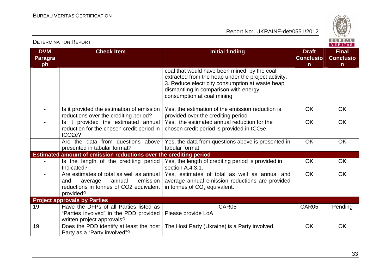

|                                    | <b>DETERMINATION REPORT</b>                                                                                                             |                                                                                                                                                                                                                                | BUREAU<br>VERITAS                                |                                                  |
|------------------------------------|-----------------------------------------------------------------------------------------------------------------------------------------|--------------------------------------------------------------------------------------------------------------------------------------------------------------------------------------------------------------------------------|--------------------------------------------------|--------------------------------------------------|
| <b>DVM</b><br><b>Paragra</b><br>ph | <b>Check Item</b>                                                                                                                       | <b>Initial finding</b>                                                                                                                                                                                                         | <b>Draft</b><br><b>Conclusio</b><br>$\mathsf{n}$ | <b>Final</b><br><b>Conclusio</b><br>$\mathsf{n}$ |
|                                    |                                                                                                                                         | coal that would have been mined, by the coal<br>extracted from the heap under the project activity.<br>3. Reduce electricity consumption at waste heap<br>dismantling in comparison with energy<br>consumption at coal mining. |                                                  |                                                  |
|                                    | Is it provided the estimation of emission<br>reductions over the crediting period?                                                      | Yes, the estimation of the emission reduction is<br>provided over the crediting period                                                                                                                                         | <b>OK</b>                                        | OK                                               |
|                                    | Is it provided the estimated annual<br>reduction for the chosen credit period in<br>tCO <sub>2e</sub> ?                                 | Yes, the estimated annual reduction for the<br>chosen credit period is provided in $tCO2e$                                                                                                                                     | OK                                               | OK                                               |
| $\blacksquare$                     | Are the data from questions above<br>presented in tabular format?                                                                       | Yes, the data from questions above is presented in<br>tabular format                                                                                                                                                           | <b>OK</b>                                        | <b>OK</b>                                        |
|                                    | Estimated amount of emission reductions over the crediting period                                                                       |                                                                                                                                                                                                                                |                                                  |                                                  |
|                                    | Is the length of the crediting period<br>Indicated?                                                                                     | Yes, the length of crediting period is provided in<br>section A.4.3.1.                                                                                                                                                         | <b>OK</b>                                        | OK                                               |
|                                    | Are estimates of total as well as annual<br>emission<br>annual<br>and<br>average<br>reductions in tonnes of CO2 equivalent<br>provided? | Yes, estimates of total as well as annual and<br>average annual emission reductions are provided<br>in tonnes of $CO2$ equivalent.                                                                                             | <b>OK</b>                                        | <b>OK</b>                                        |
|                                    | <b>Project approvals by Parties</b>                                                                                                     |                                                                                                                                                                                                                                |                                                  |                                                  |
| 19                                 | Have the DFPs of all Parties listed as<br>"Parties involved" in the PDD provided<br>written project approvals?                          | CAR05<br>Please provide LoA                                                                                                                                                                                                    | CAR05                                            | Pending                                          |
| 19                                 | Does the PDD identify at least the host<br>Party as a "Party involved"?                                                                 | The Host Party (Ukraine) is a Party involved.                                                                                                                                                                                  | OK                                               | OK                                               |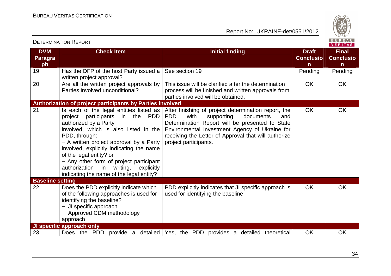

| <b>DVM</b><br><b>Paragra</b><br>ph | <b>Check Item</b>                                                                                                                                                                                                                                                                                                                                                                                                                          | <b>Initial finding</b>                                                                                                                                                                                                                                                                             | <b>Draft</b><br><b>Conclusio</b><br>n. | <b>Final</b><br><b>Conclusio</b><br>n |
|------------------------------------|--------------------------------------------------------------------------------------------------------------------------------------------------------------------------------------------------------------------------------------------------------------------------------------------------------------------------------------------------------------------------------------------------------------------------------------------|----------------------------------------------------------------------------------------------------------------------------------------------------------------------------------------------------------------------------------------------------------------------------------------------------|----------------------------------------|---------------------------------------|
| 19                                 | Has the DFP of the host Party issued a<br>written project approval?                                                                                                                                                                                                                                                                                                                                                                        | See section 19                                                                                                                                                                                                                                                                                     | Pending                                | Pending                               |
| 20                                 | Are all the written project approvals by<br>Parties involved unconditional?                                                                                                                                                                                                                                                                                                                                                                | This issue will be clarified after the determination<br>process will be finished and written approvals from<br>parties involved will be obtained.                                                                                                                                                  | <b>OK</b>                              | OK                                    |
|                                    | Authorization of project participants by Parties involved                                                                                                                                                                                                                                                                                                                                                                                  |                                                                                                                                                                                                                                                                                                    |                                        |                                       |
| 21                                 | Is each of the legal entities listed as<br>in the PDD<br>participants<br>project<br>authorized by a Party<br>involved, which is also listed in the<br>PDD, through:<br>- A written project approval by a Party  <br>involved, explicitly indicating the name<br>of the legal entity? or<br>- Any other form of project participant<br>authorization<br>writing,<br>$\mathsf{in}$<br>explicitly<br>indicating the name of the legal entity? | After finishing of project determination report, the<br>with<br><b>PDD</b><br>supporting<br>documents<br>and<br>Determination Report will be presented to State<br>Environmental Investment Agency of Ukraine for<br>receiving the Letter of Approval that will authorize<br>project participants. | <b>OK</b>                              | <b>OK</b>                             |
| <b>Baseline setting</b>            |                                                                                                                                                                                                                                                                                                                                                                                                                                            |                                                                                                                                                                                                                                                                                                    |                                        |                                       |
| 22                                 | Does the PDD explicitly indicate which<br>of the following approaches is used for<br>identifying the baseline?<br>- JI specific approach<br>- Approved CDM methodology<br>approach                                                                                                                                                                                                                                                         | PDD explicitly indicates that JI specific approach is<br>used for identifying the baseline                                                                                                                                                                                                         | <b>OK</b>                              | <b>OK</b>                             |
|                                    | JI specific approach only                                                                                                                                                                                                                                                                                                                                                                                                                  |                                                                                                                                                                                                                                                                                                    |                                        |                                       |
| 23                                 | Does the PDD                                                                                                                                                                                                                                                                                                                                                                                                                               | provide a detailed Yes, the PDD provides a detailed theoretical                                                                                                                                                                                                                                    | OK                                     | OK                                    |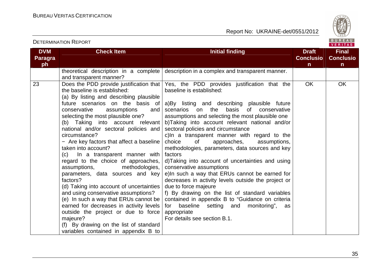

| theoretical description in a complete<br>description in a complex and transparent manner.<br>and transparent manner?<br>23<br>Yes, the PDD provides justification that the<br><b>OK</b><br>Does the PDD provide justification that<br>the baseline is established:<br>baseline is established:<br>(a) By listing and describing plausible<br>future scenarios on the basis of<br>a)By listing and describing plausible future<br>the<br>basis<br>conservative<br>assumptions<br>scenarios on<br>of<br>and<br>conservative<br>selecting the most plausible one?<br>assumptions and selecting the most plausible one<br>(b) Taking into account relevant<br>b)Taking into account relevant national and/or<br>sectoral policies and circumstance<br>national and/or sectoral policies and<br>circumstance?<br>c)In a transparent manner with regard to the<br>- Are key factors that affect a baseline<br>οf<br>approaches,<br>choice<br>assumptions,<br>methodologies, parameters, data sources and key<br>taken into account?<br>factors<br>(c) In a transparent manner with<br>regard to the choice of approaches,<br>d)Taking into account of uncertainties and using<br>conservative assumptions<br>assumptions,<br>methodologies,<br>e)In such a way that ERUs cannot be earned for<br>parameters, data sources and key<br>factors?<br>decreases in activity levels outside the project or<br>(d) Taking into account of uncertainties<br>due to force majeure<br>and using conservative assumptions?<br>f) By drawing on the list of standard variables<br>(e) In such a way that ERUs cannot be<br>contained in appendix B to "Guidance on criteria<br>earned for decreases in activity levels<br>for<br>baseline setting and monitoring",<br>as<br>outside the project or due to force<br>appropriate | <b>DVM</b><br><b>Paragra</b><br>ph | <b>Check Item</b> | <b>Initial finding</b>       | <b>Draft</b><br><b>Conclusio</b><br>$\mathsf{n}$ | <b>Final</b><br><b>Conclusio</b><br>$\mathsf{n}$ |
|--------------------------------------------------------------------------------------------------------------------------------------------------------------------------------------------------------------------------------------------------------------------------------------------------------------------------------------------------------------------------------------------------------------------------------------------------------------------------------------------------------------------------------------------------------------------------------------------------------------------------------------------------------------------------------------------------------------------------------------------------------------------------------------------------------------------------------------------------------------------------------------------------------------------------------------------------------------------------------------------------------------------------------------------------------------------------------------------------------------------------------------------------------------------------------------------------------------------------------------------------------------------------------------------------------------------------------------------------------------------------------------------------------------------------------------------------------------------------------------------------------------------------------------------------------------------------------------------------------------------------------------------------------------------------------------------------------------------------------------------------------------------------------------------------------------|------------------------------------|-------------------|------------------------------|--------------------------------------------------|--------------------------------------------------|
|                                                                                                                                                                                                                                                                                                                                                                                                                                                                                                                                                                                                                                                                                                                                                                                                                                                                                                                                                                                                                                                                                                                                                                                                                                                                                                                                                                                                                                                                                                                                                                                                                                                                                                                                                                                                              |                                    |                   |                              |                                                  |                                                  |
| (f) By drawing on the list of standard<br>variables contained in appendix B to                                                                                                                                                                                                                                                                                                                                                                                                                                                                                                                                                                                                                                                                                                                                                                                                                                                                                                                                                                                                                                                                                                                                                                                                                                                                                                                                                                                                                                                                                                                                                                                                                                                                                                                               |                                    | majeure?          | For details see section B.1. |                                                  | OK                                               |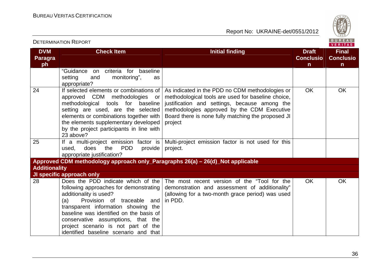

| <b>DVM</b><br><b>Paragra</b><br>ph | <b>Check Item</b>                                                                                                                                                                                                                                                                                               | <b>Initial finding</b>                                                                                                                                                                                                                                                 | <b>Draft</b><br><b>Conclusio</b><br>$\mathsf{n}$ | <b>Final</b><br><b>Conclusio</b><br>$\mathsf{n}$ |
|------------------------------------|-----------------------------------------------------------------------------------------------------------------------------------------------------------------------------------------------------------------------------------------------------------------------------------------------------------------|------------------------------------------------------------------------------------------------------------------------------------------------------------------------------------------------------------------------------------------------------------------------|--------------------------------------------------|--------------------------------------------------|
|                                    | criteria for<br>"Guidance<br>baseline<br><b>on</b><br>setting<br>monitoring",<br>and<br>as<br>appropriate?                                                                                                                                                                                                      |                                                                                                                                                                                                                                                                        |                                                  |                                                  |
| 24                                 | If selected elements or combinations of<br>approved CDM methodologies or<br>methodological tools for baseline<br>setting are used, are the selected<br>elements or combinations together with<br>the elements supplementary developed<br>by the project participants in line with<br>23 above?                  | As indicated in the PDD no CDM methodologies or<br>methodological tools are used for baseline choice,<br>justification and settings, because among the<br>methodologies approved by the CDM Executive<br>Board there is none fully matching the proposed JI<br>project | <b>OK</b>                                        | <b>OK</b>                                        |
| 25                                 | If a multi-project emission factor is<br><b>PDD</b><br>does<br>the<br>used,<br>provide<br>appropriate justification?                                                                                                                                                                                            | Multi-project emission factor is not used for this<br>project.                                                                                                                                                                                                         |                                                  |                                                  |
|                                    | Approved CDM methodology approach only_Paragraphs 26(a) - 26(d)_Not applicable                                                                                                                                                                                                                                  |                                                                                                                                                                                                                                                                        |                                                  |                                                  |
| <b>Additionality</b>               |                                                                                                                                                                                                                                                                                                                 |                                                                                                                                                                                                                                                                        |                                                  |                                                  |
|                                    | JI specific approach only                                                                                                                                                                                                                                                                                       |                                                                                                                                                                                                                                                                        |                                                  |                                                  |
| 28                                 | following approaches for demonstrating  <br>additionality is used?<br>Provision of traceable and<br>(a)<br>transparent information showing the<br>baseline was identified on the basis of<br>conservative assumptions, that the<br>project scenario is not part of the<br>identified baseline scenario and that | Does the PDD indicate which of the The most recent version of the "Tool for the<br>demonstration and assessment of additionality"<br>(allowing for a two-month grace period) was used<br>in PDD.                                                                       | <b>OK</b>                                        | <b>OK</b>                                        |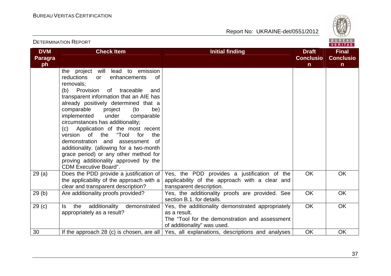

|                                    |                                                                                                                                                                                                                                                                                                                                                                                                                                                                                                                                                                                                                                         |                                                                                                                                                    |                                                  | VERITAS                                          |  |
|------------------------------------|-----------------------------------------------------------------------------------------------------------------------------------------------------------------------------------------------------------------------------------------------------------------------------------------------------------------------------------------------------------------------------------------------------------------------------------------------------------------------------------------------------------------------------------------------------------------------------------------------------------------------------------------|----------------------------------------------------------------------------------------------------------------------------------------------------|--------------------------------------------------|--------------------------------------------------|--|
| <b>DVM</b><br><b>Paragra</b><br>ph | <b>Check Item</b>                                                                                                                                                                                                                                                                                                                                                                                                                                                                                                                                                                                                                       | <b>Initial finding</b>                                                                                                                             | <b>Draft</b><br><b>Conclusio</b><br>$\mathsf{n}$ | <b>Final</b><br><b>Conclusio</b><br>$\mathsf{n}$ |  |
|                                    | will<br>lead to emission<br>project<br>the<br>reductions<br>enhancements<br>0f<br>or<br>removals:<br>Provision<br>(b)<br>of traceable<br>and<br>transparent information that an AIE has<br>already positively determined that a<br>comparable<br>project<br>(to<br>be)<br>implemented<br>under<br>comparable<br>circumstances has additionality;<br>(c) Application of the most recent<br>"Tool<br>version of the<br>for<br>the<br>demonstration and<br>assessment<br>of.<br>additionality. (allowing for a two-month<br>grace period) or any other method for<br>proving additionality approved by the<br><b>CDM Executive Board".</b> |                                                                                                                                                    |                                                  |                                                  |  |
| 29(a)                              | Does the PDD provide a justification of<br>the applicability of the approach with a<br>clear and transparent description?                                                                                                                                                                                                                                                                                                                                                                                                                                                                                                               | Yes, the PDD provides a justification of the<br>applicability of the approach with a clear and<br>transparent description.                         | <b>OK</b>                                        | <b>OK</b>                                        |  |
| 29(b)                              | Are additionality proofs provided?                                                                                                                                                                                                                                                                                                                                                                                                                                                                                                                                                                                                      | Yes, the additionality proofs are provided. See<br>section B.1, for details.                                                                       | <b>OK</b>                                        | <b>OK</b>                                        |  |
| 29 <sub>(c)</sub>                  | the additionality<br>demonstrated<br>ls.<br>appropriately as a result?                                                                                                                                                                                                                                                                                                                                                                                                                                                                                                                                                                  | Yes, the additionality demonstrated appropriately<br>as a result.<br>The "Tool for the demonstration and assessment<br>of additionality" was used. | <b>OK</b>                                        | <b>OK</b>                                        |  |
| 30                                 |                                                                                                                                                                                                                                                                                                                                                                                                                                                                                                                                                                                                                                         | If the approach 28 (c) is chosen, are all $\vert$ Yes, all explanations, descriptions and analyses                                                 | <b>OK</b>                                        | <b>OK</b>                                        |  |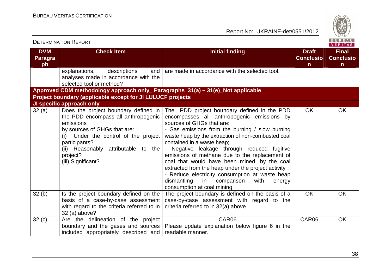

|                                    | <b>DETERMINATION REPORT</b>                                                                                                                                                                                                                                |                                                                                                                                                                                                                                                                                                                                                                                                                                                                                                                                                                                                        |                                                  | <b>BUREAU</b><br><b>VERITAS</b>                  |
|------------------------------------|------------------------------------------------------------------------------------------------------------------------------------------------------------------------------------------------------------------------------------------------------------|--------------------------------------------------------------------------------------------------------------------------------------------------------------------------------------------------------------------------------------------------------------------------------------------------------------------------------------------------------------------------------------------------------------------------------------------------------------------------------------------------------------------------------------------------------------------------------------------------------|--------------------------------------------------|--------------------------------------------------|
| <b>DVM</b><br><b>Paragra</b><br>ph | <b>Check Item</b>                                                                                                                                                                                                                                          | <b>Initial finding</b>                                                                                                                                                                                                                                                                                                                                                                                                                                                                                                                                                                                 | <b>Draft</b><br><b>Conclusio</b><br>$\mathsf{n}$ | <b>Final</b><br><b>Conclusio</b><br>$\mathsf{n}$ |
|                                    | descriptions<br>explanations,<br>and<br>analyses made in accordance with the<br>selected tool or method?                                                                                                                                                   | are made in accordance with the selected tool.                                                                                                                                                                                                                                                                                                                                                                                                                                                                                                                                                         |                                                  |                                                  |
|                                    | Approved CDM methodology approach only_ Paragraphs 31(a) - 31(e)_Not applicable                                                                                                                                                                            |                                                                                                                                                                                                                                                                                                                                                                                                                                                                                                                                                                                                        |                                                  |                                                  |
|                                    | Project boundary (applicable except for JI LULUCF projects                                                                                                                                                                                                 |                                                                                                                                                                                                                                                                                                                                                                                                                                                                                                                                                                                                        |                                                  |                                                  |
|                                    | <b>JI specific approach only</b>                                                                                                                                                                                                                           |                                                                                                                                                                                                                                                                                                                                                                                                                                                                                                                                                                                                        |                                                  |                                                  |
| 32(a)                              | Does the project boundary defined in<br>the PDD encompass all anthropogenic<br>emissions<br>by sources of GHGs that are:<br>(i) Under the control of the project<br>participants?<br>(ii) Reasonably attributable to the<br>project?<br>(iii) Significant? | The PDD project boundary defined in the PDD<br>encompasses all anthropogenic emissions by<br>sources of GHGs that are:<br>- Gas emissions from the burning / slow burning<br>waste heap by the extraction of non-combusted coal<br>contained in a waste heap;<br>- Negative leakage through reduced fugitive<br>emissions of methane due to the replacement of<br>coal that would have been mined, by the coal<br>extracted from the heap under the project activity<br>- Reduce electricity consumption at waste heap<br>dismantling<br>in comparison<br>with<br>energy<br>consumption at coal mining | <b>OK</b>                                        | <b>OK</b>                                        |
| 32(b)                              | Is the project boundary defined on the<br>basis of a case-by-case assessment<br>with regard to the criteria referred to in<br>32 (a) above?                                                                                                                | The project boundary is defined on the basis of a<br>case-by-case assessment with regard to the<br>criteria referred to in 32(a) above                                                                                                                                                                                                                                                                                                                                                                                                                                                                 | <b>OK</b>                                        | OK                                               |
| 32(c)                              | Are the delineation of the project<br>boundary and the gases and sources<br>included appropriately described and                                                                                                                                           | CAR06<br>Please update explanation below figure 6 in the<br>readable manner.                                                                                                                                                                                                                                                                                                                                                                                                                                                                                                                           | CAR06                                            | OK                                               |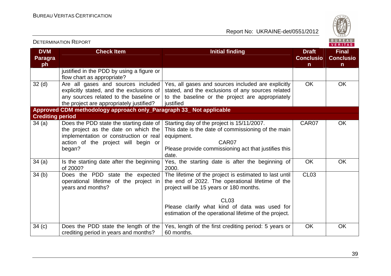

| <b>DETERMINATION INEPURT</b>       |                                                                                                                                                                            |                                                                                                                                                                                                                                                                                 | <b>VERITAS</b>                         |                                                  |
|------------------------------------|----------------------------------------------------------------------------------------------------------------------------------------------------------------------------|---------------------------------------------------------------------------------------------------------------------------------------------------------------------------------------------------------------------------------------------------------------------------------|----------------------------------------|--------------------------------------------------|
| <b>DVM</b><br><b>Paragra</b><br>ph | <b>Check Item</b>                                                                                                                                                          | <b>Initial finding</b>                                                                                                                                                                                                                                                          | <b>Draft</b><br><b>Conclusio</b><br>n. | <b>Final</b><br><b>Conclusio</b><br>$\mathsf{n}$ |
|                                    | justified in the PDD by using a figure or<br>flow chart as appropriate?                                                                                                    |                                                                                                                                                                                                                                                                                 |                                        |                                                  |
| 32 <sub>(d)</sub>                  | explicitly stated, and the exclusions of<br>any sources related to the baseline or<br>the project are appropriately justified?                                             | Are all gases and sources included   Yes, all gases and sources included are explicitly<br>stated, and the exclusions of any sources related<br>to the baseline or the project are appropriately<br>justified                                                                   | <b>OK</b>                              | <b>OK</b>                                        |
|                                    | Approved CDM methodology approach only_Paragraph 33_Not applicable                                                                                                         |                                                                                                                                                                                                                                                                                 |                                        |                                                  |
| <b>Crediting period</b>            |                                                                                                                                                                            |                                                                                                                                                                                                                                                                                 |                                        |                                                  |
| 34(a)                              | Does the PDD state the starting date of<br>the project as the date on which the<br>implementation or construction or real<br>action of the project will begin or<br>began? | Starting day of the project is 15/11/2007.<br>This date is the date of commissioning of the main<br>equipment.<br>CAR07<br>Please provide commissioning act that justifies this<br>date.                                                                                        | CAR07                                  | <b>OK</b>                                        |
| 34(a)                              | Is the starting date after the beginning<br>of 2000?                                                                                                                       | Yes, the starting date is after the beginning of<br>2000.                                                                                                                                                                                                                       | <b>OK</b>                              | <b>OK</b>                                        |
| 34(b)                              | Does the PDD state the expected<br>operational lifetime of the project in<br>years and months?                                                                             | The lifetime of the project is estimated to last until<br>the end of 2022. The operational lifetime of the<br>project will be 15 years or 180 months.<br><b>CL03</b><br>Please clarify what kind of data was used for<br>estimation of the operational lifetime of the project. | CL <sub>03</sub>                       |                                                  |
| 34(c)                              | Does the PDD state the length of the<br>crediting period in years and months?                                                                                              | Yes, length of the first crediting period: 5 years or<br>60 months.                                                                                                                                                                                                             | <b>OK</b>                              | OK                                               |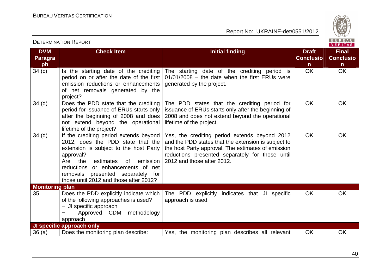DETERMINATION REPORT



| <b>DVM</b><br><b>Paragra</b> | <b>Check Item</b>                                                                                                                                                                                                                                                                                | <b>Initial finding</b>                                                                                                                                                                                                                      | <b>Draft</b><br><b>Conclusio</b> | <b>Final</b><br><b>Conclusio</b> |
|------------------------------|--------------------------------------------------------------------------------------------------------------------------------------------------------------------------------------------------------------------------------------------------------------------------------------------------|---------------------------------------------------------------------------------------------------------------------------------------------------------------------------------------------------------------------------------------------|----------------------------------|----------------------------------|
| ph                           |                                                                                                                                                                                                                                                                                                  |                                                                                                                                                                                                                                             | n.                               | $\mathsf{n}$                     |
| 34(c)                        | Is the starting date of the crediting<br>period on or after the date of the first<br>emission reductions or enhancements<br>of net removals generated by the<br>project?                                                                                                                         | The starting date of the crediting period is<br>$01/01/2008$ – the date when the first ERUs were<br>generated by the project.                                                                                                               | <b>OK</b>                        | <b>OK</b>                        |
| 34 <sub>(d)</sub>            | Does the PDD state that the crediting<br>period for issuance of ERUs starts only<br>after the beginning of 2008 and does<br>not extend beyond the operational<br>lifetime of the project?                                                                                                        | The PDD states that the crediting period for<br>issuance of ERUs starts only after the beginning of<br>2008 and does not extend beyond the operational<br>lifetime of the project.                                                          | <b>OK</b>                        | OK                               |
| $34$ (d)                     | If the crediting period extends beyond<br>2012, does the PDD state that the<br>extension is subject to the host Party<br>approval?<br>emission<br>Are the<br>estimates<br>0f<br>reductions or enhancements of net<br>removals presented separately for<br>those until 2012 and those after 2012? | Yes, the crediting period extends beyond 2012<br>and the PDD states that the extension is subject to<br>the host Party approval. The estimates of emission<br>reductions presented separately for those until<br>2012 and those after 2012. | <b>OK</b>                        | OK                               |
| <b>Monitoring plan</b>       |                                                                                                                                                                                                                                                                                                  |                                                                                                                                                                                                                                             |                                  |                                  |
| 35                           | Does the PDD explicitly indicate which<br>of the following approaches is used?<br>- JI specific approach<br>methodology<br>Approved CDM<br>approach                                                                                                                                              | The PDD explicitly<br>indicates that JI specific<br>approach is used.                                                                                                                                                                       | <b>OK</b>                        | <b>OK</b>                        |
|                              | <b>JI specific approach only</b>                                                                                                                                                                                                                                                                 |                                                                                                                                                                                                                                             |                                  |                                  |
| 36(a)                        | Does the monitoring plan describe:                                                                                                                                                                                                                                                               | Yes, the monitoring plan describes all relevant                                                                                                                                                                                             | OK                               | <b>OK</b>                        |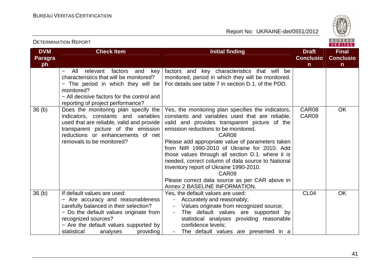

#### DETERMINATION REPORT**VERITAS DVM Check Item Initial finding Check Item Initial finding Check Item Initial finding Initial finding Initial finding Final Paragra Conclusio Conclusioph nn** − All relevant factors and key factors and key characteristics that will be characteristics that will be monitored? monitored, period in which they will be monitored. For details see table 7 in section D.1. of the PDD. − The period in which they will be monitored? − All decisive factors for the control and reporting of project performance? Yes, the monitoring plan specifies the indicators, CAR08 **OK**  36 (b) Does the monitoring plan specify the indicators, constants and variables constants and variables used that are reliable, CAR09 used that are reliable, valid and provide valid and provides transparent picture of the transparent picture of the emission emission reductions to be monitored. reductions or enhancements of net CAR08 removals to be monitored? Please add appropriate value of parameters taken from NIR 1990-2010 of Ukraine for 2010. Add those values through all section D.1. where it is needed, correct column of data source to National Inventory report of Ukraine 1990-2010. CAR09 Please correct data source as per CAR above in Annex 2 BASELINE INFORMATION. 36 (b) If default values are used:  $CI_04$  OK Yes, the default values are used: − Are accuracy and reasonableness - Accurately and reasonably; carefully balanced in their selection? - Values originate from recognized source; − Do the default values originate from - The default values are supported by recognized sources? statistical analyses providing reasonable confidence levels; − Are the default values supported by statistical analyses providing - The default values are presented in a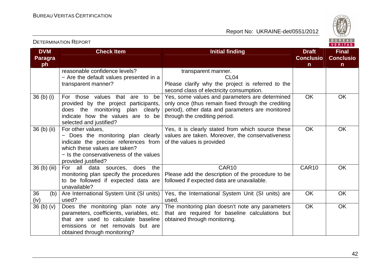

| <b>DVM</b><br><b>Paragra</b><br>ph | <b>Check Item</b>                                                                                                                                                                                  | <b>Initial finding</b>                                                                                                                                                                    | <b>Draft</b><br><b>Conclusio</b><br>$\mathsf{n}$ | <b>Final</b><br><b>Conclusio</b><br>$\mathsf{n}$ |
|------------------------------------|----------------------------------------------------------------------------------------------------------------------------------------------------------------------------------------------------|-------------------------------------------------------------------------------------------------------------------------------------------------------------------------------------------|--------------------------------------------------|--------------------------------------------------|
|                                    | reasonable confidence levels?<br>- Are the default values presented in a<br>transparent manner?                                                                                                    | transparent manner.<br>CL <sub>04</sub><br>Please clarify why the project is referred to the<br>second class of electricity consumption.                                                  |                                                  |                                                  |
| 36 <sub>(b)</sub> <sub>(i)</sub>   | For those values that are to<br>be<br>provided by the project participants,<br>does the monitoring plan clearly<br>indicate how the values are to be<br>selected and justified?                    | Yes, some values and parameters are determined<br>only once (thus remain fixed through the crediting<br>period), other data and parameters are monitored<br>through the crediting period. | <b>OK</b>                                        | <b>OK</b>                                        |
| 36 (b) (ii)                        | For other values,<br>- Does the monitoring plan clearly<br>indicate the precise references from<br>which these values are taken?<br>- Is the conservativeness of the values<br>provided justified? | Yes, it is clearly stated from which source these<br>values are taken. Moreover, the conservativeness<br>of the values is provided                                                        | <b>OK</b>                                        | OK                                               |
| 36 (b) (iii)                       | For all data sources,<br>does<br>the<br>monitoring plan specify the procedures<br>to be followed if expected data are<br>unavailable?                                                              | CAR10<br>Please add the description of the procedure to be<br>followed if expected data are unavailable.                                                                                  | CAR10                                            | <b>OK</b>                                        |
| 36<br>(b)<br>(iv)                  | Are International System Unit (SI units)<br>used?                                                                                                                                                  | Yes, the International System Unit (SI units) are<br>used.                                                                                                                                | <b>OK</b>                                        | <b>OK</b>                                        |
| $36$ (b) (v)                       | Does the monitoring plan note any<br>parameters, coefficients, variables, etc.<br>that are used to calculate baseline<br>emissions or net removals<br>but are<br>obtained through monitoring?      | The monitoring plan doesn't note any parameters<br>that are required for baseline calculations but<br>obtained through monitoring.                                                        | <b>OK</b>                                        | OK                                               |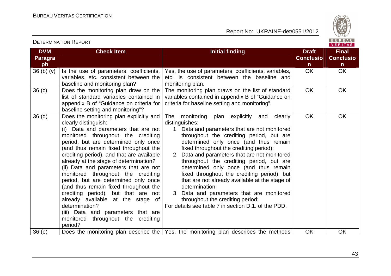

VERITAS

#### **DVM Paragraph**  $36(b)(v)$ **Check Item Initial finding Check Item Initial finding Check Item Initial finding Initial finding Initial finding Conclusion** $\overline{OK}$ **Final Conclusion** OK OK Is the use of parameters, coefficients, variables, etc. consistent between the baseline and monitoring plan? 36 (c) Does the monitoring plan draw on the Yes, the use of parameters, coefficients, variables, etc. is consistent between the baseline and monitoring plan. The monitoring plan draws on the list of standard list of standard variables contained in appendix B of "Guidance on criteria for baseline setting and monitoring"? 36 (d) Does the monitoring plan explicitly and variables contained in appendix B of "Guidance on criteria for baseline setting and monitoring". OK OK clearly distinguish: (i) Data and parameters that are not monitored throughout the crediting period, but are determined only once (and thus remain fixed throughout the crediting period), and that are available already at the stage of determination? (ii) Data and parameters that are not monitored throughout the crediting period, but are determined only once (and thus remain fixed throughout the crediting period), but that are not already available at the stage of determination? (iii) Data and parameters that are monitored throughout the crediting period? 36 (e)  $\vert$  Does the monitoring plan describe the Yes, the monitoring plan describes the methods  $\vert$  OK  $\vert$  OK The monitoring plan explicitly and clearly distinguishes: 1. Data and parameters that are not monitored throughout the crediting period, but are determined only once (and thus remain fixed throughout the crediting period); 2. Data and parameters that are not monitored throughout the crediting period, but are determined only once (and thus remain fixed throughout the crediting period), but that are not already available at the stage of determination; 3. Data and parameters that are monitored throughout the crediting period; For details see table 7 in section D.1. of the PDD.OK OK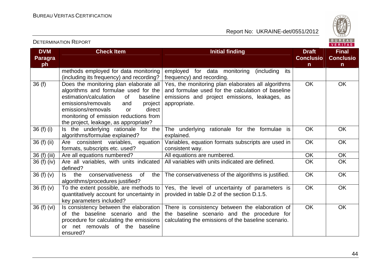

| <b>DVM</b><br><b>Paragra</b><br>ph | <b>Check Item</b>                                                                                                                                                                                                                                                                                 | <b>Initial finding</b>                                                                                                                                                   | <b>Draft</b><br><b>Conclusio</b><br>n. | <b>Final</b><br><b>Conclusio</b><br>$\mathsf{n}$ |
|------------------------------------|---------------------------------------------------------------------------------------------------------------------------------------------------------------------------------------------------------------------------------------------------------------------------------------------------|--------------------------------------------------------------------------------------------------------------------------------------------------------------------------|----------------------------------------|--------------------------------------------------|
|                                    | methods employed for data monitoring<br>(including its frequency) and recording?                                                                                                                                                                                                                  | employed for data monitoring (including<br>its<br>frequency) and recording.                                                                                              |                                        |                                                  |
| 36(f)                              | Does the monitoring plan elaborate all<br>algorithms and formulae used for the<br>estimation/calculation<br>0f<br>baseline<br>emissions/removals<br>and<br>project<br>emissions/removals<br>direct<br>$\alpha$<br>monitoring of emission reductions from<br>the project, leakage, as appropriate? | Yes, the monitoring plan elaborates all algorithms<br>and formulae used for the calculation of baseline<br>emissions and project emissions, leakages, as<br>appropriate. | <b>OK</b>                              | OK                                               |
| 36 (f) (i)                         | Is the underlying rationale for the<br>algorithms/formulae explained?                                                                                                                                                                                                                             | The underlying rationale for the formulae is<br>explained.                                                                                                               | <b>OK</b>                              | OK                                               |
| 36 (f) (ii)                        | Are consistent variables,<br>equation<br>formats, subscripts etc. used?                                                                                                                                                                                                                           | Variables, equation formats subscripts are used in<br>consistent way.                                                                                                    | <b>OK</b>                              | <b>OK</b>                                        |
| 36 (f) (iii)                       | Are all equations numbered?                                                                                                                                                                                                                                                                       | All equations are numbered.                                                                                                                                              | OK                                     | OK                                               |
| 36 (f) (iv)                        | Are all variables, with units indicated<br>defined?                                                                                                                                                                                                                                               | All variables with units indicated are defined.                                                                                                                          | OK                                     | OK                                               |
| 36 $(f)(v)$                        | conservativeness<br><b>of</b><br>the<br>the<br>ls.<br>algorithms/procedures justified?                                                                                                                                                                                                            | The conservativeness of the algorithms is justified.                                                                                                                     | OK                                     | OK                                               |
| 36 $(f)(v)$                        | To the extent possible, are methods to<br>quantitatively account for uncertainty in<br>key parameters included?                                                                                                                                                                                   | Yes, the level of uncertainty of parameters is<br>provided in table D.2 of the section D.1.5.                                                                            | <b>OK</b>                              | OK                                               |
| 36(f)(vi)                          | Is consistency between the elaboration<br>of the baseline scenario and the<br>procedure for calculating the emissions<br>net removals of the baseline<br>or<br>ensured?                                                                                                                           | There is consistency between the elaboration of<br>the baseline scenario and the procedure for<br>calculating the emissions of the baseline scenario.                    | OK                                     | OK                                               |

DETERMINATION REPORT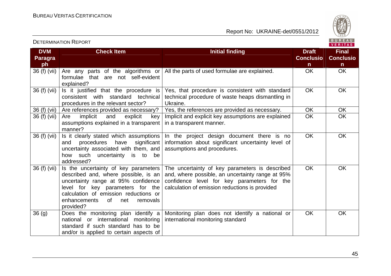

|                              |                                                                                                                                                                                                                                                          |                                                                                                                                                                                                     |                                  | <u>VENIJAJ</u>                   |
|------------------------------|----------------------------------------------------------------------------------------------------------------------------------------------------------------------------------------------------------------------------------------------------------|-----------------------------------------------------------------------------------------------------------------------------------------------------------------------------------------------------|----------------------------------|----------------------------------|
| <b>DVM</b><br><b>Paragra</b> | <b>Check Item</b>                                                                                                                                                                                                                                        | <b>Initial finding</b>                                                                                                                                                                              | <b>Draft</b><br><b>Conclusio</b> | <b>Final</b><br><b>Conclusio</b> |
| ph                           |                                                                                                                                                                                                                                                          |                                                                                                                                                                                                     | $\mathsf{n}$                     | $\mathsf{n}$                     |
| 36 (f) (vii)                 | Are any parts of the algorithms or<br>formulae that are not self-evident<br>explained?                                                                                                                                                                   | All the parts of used formulae are explained.                                                                                                                                                       | <b>OK</b>                        | <b>OK</b>                        |
| 36 (f) (vii)                 | Is it justified that the procedure is<br>consistent with standard technical<br>procedures in the relevant sector?                                                                                                                                        | Yes, that procedure is consistent with standard<br>technical procedure of waste heaps dismantling in<br>Ukraine.                                                                                    | <b>OK</b>                        | <b>OK</b>                        |
| 36 (f) (vii)                 | Are references provided as necessary?                                                                                                                                                                                                                    | Yes, the references are provided as necessary.                                                                                                                                                      | OK                               | OK                               |
| 36 (f) (vii)                 | implicit<br>explicit<br>Are<br>and<br>key<br>assumptions explained in a transparent<br>manner?                                                                                                                                                           | Implicit and explicit key assumptions are explained<br>in a transparent manner.                                                                                                                     | <b>OK</b>                        | <b>OK</b>                        |
| 36 (f) (vii)                 | Is it clearly stated which assumptions<br>significant<br>procedures<br>have<br>and<br>uncertainty associated with them, and<br>how such uncertainty is to<br>be<br>addressed?                                                                            | In the project design document there is no<br>information about significant uncertainty level of<br>assumptions and procedures.                                                                     | <b>OK</b>                        | <b>OK</b>                        |
| 36 (f) (vii)                 | Is the uncertainty of key parameters<br>described and, where possible, is an<br>uncertainty range at 95% confidence<br>level for key parameters for the<br>calculation of emission reductions or<br>enhancements<br>of l<br>net<br>removals<br>provided? | The uncertainty of key parameters is described<br>and, where possible, an uncertainty range at 95%<br>confidence level for key parameters for the<br>calculation of emission reductions is provided | <b>OK</b>                        | <b>OK</b>                        |
| 36 <sub>(g)</sub>            | Does the monitoring plan identify a<br>national or international<br>monitoring<br>standard if such standard has to be<br>and/or is applied to certain aspects of                                                                                         | Monitoring plan does not identify a national or<br>international monitoring standard                                                                                                                | <b>OK</b>                        | <b>OK</b>                        |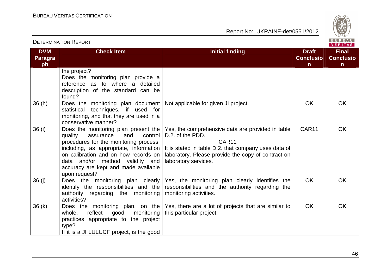

| <b>DETERMINATION REPORT</b>        |                                                                                                                                                                                                                                                                                                          |                                                                                                                                                                                                                      |                                                  |                                                  |
|------------------------------------|----------------------------------------------------------------------------------------------------------------------------------------------------------------------------------------------------------------------------------------------------------------------------------------------------------|----------------------------------------------------------------------------------------------------------------------------------------------------------------------------------------------------------------------|--------------------------------------------------|--------------------------------------------------|
| <b>DVM</b><br><b>Paragra</b><br>ph | <b>Check Item</b>                                                                                                                                                                                                                                                                                        | <b>Initial finding</b>                                                                                                                                                                                               | <b>Draft</b><br><b>Conclusio</b><br>$\mathsf{n}$ | <b>Final</b><br><b>Conclusio</b><br>$\mathsf{n}$ |
|                                    | the project?<br>Does the monitoring plan provide a<br>reference as to where a detailed<br>description of the standard can be<br>found?                                                                                                                                                                   |                                                                                                                                                                                                                      |                                                  |                                                  |
| 36(h)                              | Does the monitoring plan document<br>statistical techniques, if used for<br>monitoring, and that they are used in a<br>conservative manner?                                                                                                                                                              | Not applicable for given JI project.                                                                                                                                                                                 | <b>OK</b>                                        | <b>OK</b>                                        |
| 36(i)                              | Does the monitoring plan present the  <br>quality<br>assurance<br>and<br>control<br>procedures for the monitoring process,<br>including, as appropriate, information<br>on calibration and on how records on<br>data and/or method validity and<br>accuracy are kept and made available<br>upon request? | Yes, the comprehensive data are provided in table<br>D.2. of the PDD.<br>CAR11<br>It is stated in table D.2. that company uses data of<br>laboratory. Please provide the copy of contract on<br>laboratory services. | CAR11                                            | <b>OK</b>                                        |
| 36(j)                              | Does the monitoring plan clearly<br>identify the responsibilities and the<br>authority regarding the monitoring<br>activities?                                                                                                                                                                           | Yes, the monitoring plan clearly identifies the<br>responsibilities and the authority regarding the<br>monitoring activities.                                                                                        | <b>OK</b>                                        | <b>OK</b>                                        |
| 36(k)                              | Does the monitoring plan, on the<br>reflect<br>monitoring<br>whole,<br>good<br>practices appropriate to the project<br>type?<br>If it is a JI LULUCF project, is the good                                                                                                                                | Yes, there are a lot of projects that are similar to<br>this particular project.                                                                                                                                     | <b>OK</b>                                        | <b>OK</b>                                        |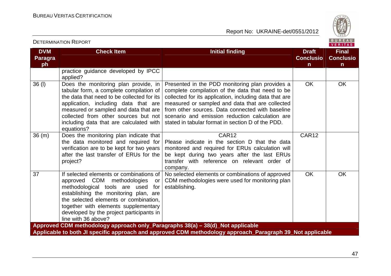DETERMINATION REPORT

Report No: UKRAINE-det/0551/2012



#### **VERITAS DVM Check Item Initial finding Check Item Initial finding Check Item Initial finding Initial finding Initial finding Final Paragra Conclusio Conclusioph nn** practice guidance developed by IPCC applied? Presented in the PDD monitoring plan provides a OK OK 36 (l) Does the monitoring plan provide, in tabular form, a complete compilation of complete compilation of the data that need to be the data that need to be collected for its collected for its application, including data that are application, including data that are measured or sampled and data that are collected measured or sampled and data that are from other sources. Data connected with baseline collected from other sources but not scenario and emission reduction calculation are including data that are calculated with stated in tabular format in section D of the PDD. equations? CAR12 36 (m) Does the monitoring plan indicate that CAR<sub>12</sub> the data monitored and required for Please indicate in the section D that the data verification are to be kept for two years monitored and required for ERUs calculation will after the last transfer of ERUs for the be kept during two years after the last ERUs project? transfer with reference on relevant order of company. 37 If selected elements or combinations of No selected elements or combinations of approved OK OK approved CDM methodologies or CDM methodologies were used for monitoring plan methodological tools are used for establishing. establishing the monitoring plan, are the selected elements or combination, together with elements supplementary developed by the project participants in line with 36 above? **Approved CDM methodology approach only\_Paragraphs 38(a) – 38(d)\_Not applicable Applicable to both JI specific approach and approved CDM methodology approach\_Paragraph 39\_Not applicable**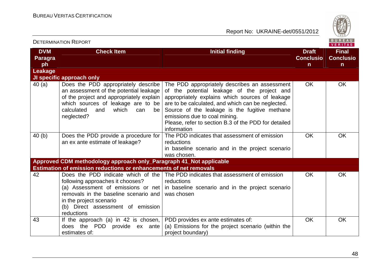

| <b>DETERMINATION REPORT</b>        |                                                                                                                                                                                                                          |                                                                                                                                                                                                                                                                                                                                                               |                                                  | BUREAU<br>VERITAS                                |
|------------------------------------|--------------------------------------------------------------------------------------------------------------------------------------------------------------------------------------------------------------------------|---------------------------------------------------------------------------------------------------------------------------------------------------------------------------------------------------------------------------------------------------------------------------------------------------------------------------------------------------------------|--------------------------------------------------|--------------------------------------------------|
| <b>DVM</b><br><b>Paragra</b><br>ph | <b>Check Item</b>                                                                                                                                                                                                        | <b>Initial finding</b>                                                                                                                                                                                                                                                                                                                                        | <b>Draft</b><br><b>Conclusio</b><br>$\mathsf{n}$ | <b>Final</b><br><b>Conclusio</b><br>$\mathsf{n}$ |
| Leakage                            |                                                                                                                                                                                                                          |                                                                                                                                                                                                                                                                                                                                                               |                                                  |                                                  |
|                                    | JI specific approach only                                                                                                                                                                                                |                                                                                                                                                                                                                                                                                                                                                               |                                                  |                                                  |
| 40(a)                              | Does the PDD appropriately describe<br>an assessment of the potential leakage<br>of the project and appropriately explain<br>which sources of leakage are to be<br>calculated<br>and<br>which<br>be<br>can<br>neglected? | The PDD appropriately describes an assessment<br>of the potential leakage of the project and<br>appropriately explains which sources of leakage<br>are to be calculated, and which can be neglected.<br>Source of the leakage is the fugitive methane<br>emissions due to coal mining.<br>Please, refer to section B.3 of the PDD for detailed<br>information | <b>OK</b>                                        | <b>OK</b>                                        |
| 40(b)                              | Does the PDD provide a procedure for                                                                                                                                                                                     | The PDD indicates that assessment of emission                                                                                                                                                                                                                                                                                                                 | <b>OK</b>                                        | OK                                               |
|                                    | an ex ante estimate of leakage?                                                                                                                                                                                          | reductions                                                                                                                                                                                                                                                                                                                                                    |                                                  |                                                  |
|                                    |                                                                                                                                                                                                                          | in baseline scenario and in the project scenario                                                                                                                                                                                                                                                                                                              |                                                  |                                                  |
|                                    |                                                                                                                                                                                                                          | was chosen.                                                                                                                                                                                                                                                                                                                                                   |                                                  |                                                  |
|                                    | Approved CDM methodology approach only_Paragraph 41_Not applicable                                                                                                                                                       |                                                                                                                                                                                                                                                                                                                                                               |                                                  |                                                  |
|                                    | Estimation of emission reductions or enhancements of net removals                                                                                                                                                        |                                                                                                                                                                                                                                                                                                                                                               |                                                  |                                                  |
| 42                                 | following approaches it chooses?<br>removals in the baseline scenario and<br>in the project scenario<br>(b) Direct assessment of emission<br>reductions                                                                  | Does the PDD indicate which of the The PDD indicates that assessment of emission<br>reductions<br>(a) Assessment of emissions or net $\vert$ in baseline scenario and in the project scenario<br>was chosen                                                                                                                                                   | <b>OK</b>                                        | OK                                               |
| 43                                 | If the approach (a) in 42 is chosen,<br>does the PDD<br>provide ex ante<br>estimates of:                                                                                                                                 | PDD provides ex ante estimates of:<br>(a) Emissions for the project scenario (within the<br>project boundary)                                                                                                                                                                                                                                                 | OK                                               | <b>OK</b>                                        |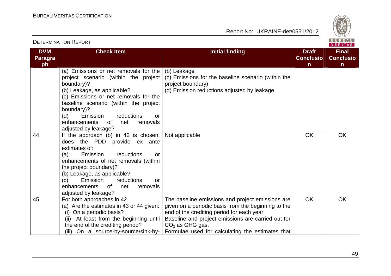

|                              |                                                                                                                                                                                                                                                                                                                                       |                                                                                                                                                                                                                                                                                      |                                  | VERIIAS.                         |
|------------------------------|---------------------------------------------------------------------------------------------------------------------------------------------------------------------------------------------------------------------------------------------------------------------------------------------------------------------------------------|--------------------------------------------------------------------------------------------------------------------------------------------------------------------------------------------------------------------------------------------------------------------------------------|----------------------------------|----------------------------------|
| <b>DVM</b><br><b>Paragra</b> | <b>Check Item</b>                                                                                                                                                                                                                                                                                                                     | <b>Initial finding</b>                                                                                                                                                                                                                                                               | <b>Draft</b><br><b>Conclusio</b> | <b>Final</b><br><b>Conclusio</b> |
| ph                           |                                                                                                                                                                                                                                                                                                                                       |                                                                                                                                                                                                                                                                                      | $\mathsf{n}$                     | $\mathsf{n}$                     |
|                              | (a) Emissions or net removals for the<br>project scenario (within the project<br>boundary)?<br>(b) Leakage, as applicable?<br>(c) Emissions or net removals for the<br>baseline scenario (within the project<br>boundary)?<br>(d)<br>Emission<br>reductions<br>or<br>enhancements<br>0f<br>net<br>removals                            | (b) Leakage<br>(c) Emissions for the baseline scenario (within the<br>project boundary)<br>(d) Emission reductions adjusted by leakage                                                                                                                                               |                                  |                                  |
|                              | adjusted by leakage?                                                                                                                                                                                                                                                                                                                  |                                                                                                                                                                                                                                                                                      |                                  |                                  |
| 44                           | If the approach (b) in 42 is chosen,<br>does the PDD provide ex ante<br>estimates of:<br>reductions<br>Emission<br>(a)<br>or<br>enhancements of net removals (within<br>the project boundary)?<br>(b) Leakage, as applicable?<br>Emission<br>reductions<br>(c)<br>or<br>enhancements<br>0f<br>net<br>removals<br>adjusted by leakage? | Not applicable                                                                                                                                                                                                                                                                       | <b>OK</b>                        | <b>OK</b>                        |
| 45                           | For both approaches in 42<br>(a) Are the estimates in 43 or 44 given:<br>(i) On a periodic basis?<br>(ii) At least from the beginning until<br>the end of the crediting period?<br>(iii) On a source-by-source/sink-by-                                                                                                               | The baseline emissions and project emissions are<br>given on a periodic basis from the beginning to the<br>end of the crediting period for each year.<br>Baseline and project emissions are carried out for<br>$CO2$ as GHG gas.<br>Formulae used for calculating the estimates that | OK                               | <b>OK</b>                        |

DETERMINATION REPORT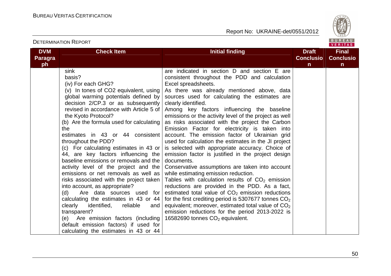

|                                    | <b>DETERMINATION REPORT</b>                                                                                                                                                                                                                                                                                                                                                                                                                                                                                                                                                                                                                                                                                                                                                                                                                                                                              |                                                                                                                                                                                                                                                                                                                                                                                                                                                                                                                                                                                                                                                                                                                                                                                                                                                                                                                                                                                                                                                                                                                                                             |                                       | BUREAU<br><b>VERITAS</b>                         |
|------------------------------------|----------------------------------------------------------------------------------------------------------------------------------------------------------------------------------------------------------------------------------------------------------------------------------------------------------------------------------------------------------------------------------------------------------------------------------------------------------------------------------------------------------------------------------------------------------------------------------------------------------------------------------------------------------------------------------------------------------------------------------------------------------------------------------------------------------------------------------------------------------------------------------------------------------|-------------------------------------------------------------------------------------------------------------------------------------------------------------------------------------------------------------------------------------------------------------------------------------------------------------------------------------------------------------------------------------------------------------------------------------------------------------------------------------------------------------------------------------------------------------------------------------------------------------------------------------------------------------------------------------------------------------------------------------------------------------------------------------------------------------------------------------------------------------------------------------------------------------------------------------------------------------------------------------------------------------------------------------------------------------------------------------------------------------------------------------------------------------|---------------------------------------|--------------------------------------------------|
| <b>DVM</b><br><b>Paragra</b><br>ph | <b>Check Item</b>                                                                                                                                                                                                                                                                                                                                                                                                                                                                                                                                                                                                                                                                                                                                                                                                                                                                                        | <b>Initial finding</b>                                                                                                                                                                                                                                                                                                                                                                                                                                                                                                                                                                                                                                                                                                                                                                                                                                                                                                                                                                                                                                                                                                                                      | <b>Draft</b><br><b>Conclusio</b><br>n | <b>Final</b><br><b>Conclusio</b><br>$\mathsf{n}$ |
|                                    | sink<br>basis?<br>(iv) For each GHG?<br>(v) In tones of CO2 equivalent, using<br>global warming potentials defined by<br>decision 2/CP.3 or as subsequently<br>revised in accordance with Article 5 of<br>the Kyoto Protocol?<br>(b) Are the formula used for calculating<br>the<br>estimates in 43 or 44 consistent<br>throughout the PDD?<br>(c) For calculating estimates in 43 or<br>44, are key factors influencing the<br>baseline emissions or removals and the<br>activity level of the project and the  <br>emissions or net removals as well as<br>risks associated with the project taken<br>into account, as appropriate?<br>Are data sources used for<br>(d)<br>calculating the estimates in 43 or 44<br>clearly<br>identified,<br>reliable<br>and<br>transparent?<br>(e) Are emission factors (including<br>default emission factors) if used for<br>calculating the estimates in 43 or 44 | are indicated in section D and section E are<br>consistent throughout the PDD and calculation<br>Excel spreadsheets.<br>As there was already mentioned above, data<br>sources used for calculating the estimates are<br>clearly identified.<br>Among key factors influencing the baseline<br>emissions or the activity level of the project as well<br>as risks associated with the project the Carbon<br>Emission Factor for electricity is taken into<br>account. The emission factor of Ukrainian grid<br>used for calculation the estimates in the JI project<br>is selected with appropriate accuracy. Choice of<br>emission factor is justified in the project design<br>documents.<br>Conservative assumptions are taken into account<br>while estimating emission reduction.<br>Tables with calculation results of $CO2$ emission<br>reductions are provided in the PDD. As a fact,<br>estimated total value of $CO2$ emission reductions<br>for the first crediting period is 5307677 tonnes $CO2$<br>equivalent; moreover, estimated total value of $CO2$<br>emission reductions for the period 2013-2022 is<br>16582690 tonnes $CO2$ equivalent. |                                       |                                                  |

50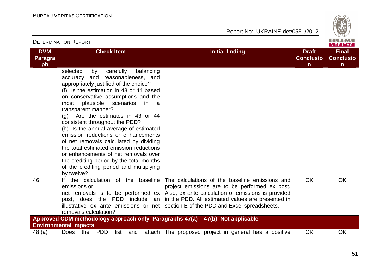

|                                    | <b>DETERMINATION REPORT</b>                                                                                                                                                                                                                                                                                                                                                                                                                                                                                                                                                                                                                                                       |                                                                                                                                                                                                                                                                                                                                          |                                                  | BUREAU<br><b>VERITAS</b>                         |
|------------------------------------|-----------------------------------------------------------------------------------------------------------------------------------------------------------------------------------------------------------------------------------------------------------------------------------------------------------------------------------------------------------------------------------------------------------------------------------------------------------------------------------------------------------------------------------------------------------------------------------------------------------------------------------------------------------------------------------|------------------------------------------------------------------------------------------------------------------------------------------------------------------------------------------------------------------------------------------------------------------------------------------------------------------------------------------|--------------------------------------------------|--------------------------------------------------|
| <b>DVM</b><br><b>Paragra</b><br>ph | <b>Check Item</b>                                                                                                                                                                                                                                                                                                                                                                                                                                                                                                                                                                                                                                                                 | <b>Initial finding</b>                                                                                                                                                                                                                                                                                                                   | <b>Draft</b><br><b>Conclusio</b><br>$\mathsf{n}$ | <b>Final</b><br><b>Conclusio</b><br>$\mathsf{n}$ |
|                                    | selected<br>carefully<br>balancing<br>by<br>accuracy and reasonableness, and<br>appropriately justified of the choice?<br>(f) Is the estimation in 43 or 44 based<br>on conservative assumptions and the<br>plausible<br>scenarios<br>most<br>in<br><sub>a</sub><br>transparent manner?<br>(g) Are the estimates in 43 or 44<br>consistent throughout the PDD?<br>(h) Is the annual average of estimated<br>emission reductions or enhancements<br>of net removals calculated by dividing<br>the total estimated emission reductions<br>or enhancements of net removals over<br>the crediting period by the total months<br>of the crediting period and multiplying<br>by twelve? |                                                                                                                                                                                                                                                                                                                                          |                                                  |                                                  |
| 46                                 | If the calculation of the baseline<br>emissions or<br>post, does the PDD include an<br>removals calculation?                                                                                                                                                                                                                                                                                                                                                                                                                                                                                                                                                                      | The calculations of the baseline emissions and<br>project emissions are to be performed ex post.<br>net removals is to be performed $ex$ Also, ex ante calculation of emissions is provided<br>in the PDD. All estimated values are presented in<br>illustrative $ex$ ante emissions or net section E of the PDD and Excel spreadsheets. | <b>OK</b>                                        | <b>OK</b>                                        |
|                                    | Approved CDM methodology approach only_Paragraphs 47(a) - 47(b)_Not applicable                                                                                                                                                                                                                                                                                                                                                                                                                                                                                                                                                                                                    |                                                                                                                                                                                                                                                                                                                                          |                                                  |                                                  |
|                                    | <b>Environmental impacts</b>                                                                                                                                                                                                                                                                                                                                                                                                                                                                                                                                                                                                                                                      |                                                                                                                                                                                                                                                                                                                                          |                                                  |                                                  |
| 48 (a)                             | Does<br><b>PDD</b><br>the<br>list<br>and                                                                                                                                                                                                                                                                                                                                                                                                                                                                                                                                                                                                                                          | attach The proposed project in general has a positive                                                                                                                                                                                                                                                                                    | <b>OK</b>                                        | <b>OK</b>                                        |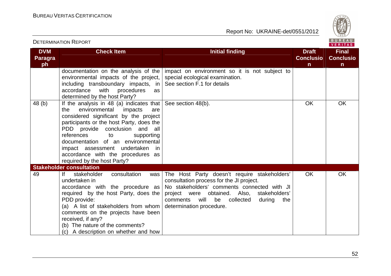

| <b>DETERMINATION REPORT</b>        |                                                                                                                                                                                                                                                                                                                                                                                               |                                                                                                                                                                                                                                                                              |                                                  |                                                  |
|------------------------------------|-----------------------------------------------------------------------------------------------------------------------------------------------------------------------------------------------------------------------------------------------------------------------------------------------------------------------------------------------------------------------------------------------|------------------------------------------------------------------------------------------------------------------------------------------------------------------------------------------------------------------------------------------------------------------------------|--------------------------------------------------|--------------------------------------------------|
| <b>DVM</b><br><b>Paragra</b><br>ph | <b>Check Item</b>                                                                                                                                                                                                                                                                                                                                                                             | <b>Initial finding</b>                                                                                                                                                                                                                                                       | <b>Draft</b><br><b>Conclusio</b><br>$\mathsf{n}$ | <b>Final</b><br><b>Conclusio</b><br>$\mathsf{n}$ |
|                                    | documentation on the analysis of the<br>environmental impacts of the project,<br>including transboundary impacts, in<br>accordance<br>with<br>procedures<br>as<br>determined by the host Party?                                                                                                                                                                                               | impact on environment so it is not subject to<br>special ecological examination.<br>See section F.1 for details                                                                                                                                                              |                                                  |                                                  |
| 48 (b)                             | If the analysis in 48 (a) indicates that<br>environmental<br>impacts<br>the<br>are<br>considered significant by the project<br>participants or the host Party, does the<br>PDD provide conclusion and all<br>references<br>supporting<br>di to<br>documentation of an environmental<br>impact assessment undertaken<br>in<br>accordance with the procedures as<br>required by the host Party? | See section 48(b).                                                                                                                                                                                                                                                           | <b>OK</b>                                        | <b>OK</b>                                        |
| 49                                 | <b>Stakeholder consultation</b><br> f <br>stakeholder<br>consultation<br>was<br>undertaken in<br>accordance with the procedure as<br>required by the host Party, does the<br>PDD provide:<br>(a) A list of stakeholders from whom<br>comments on the projects have been<br>received, if any?<br>(b) The nature of the comments?<br>(c) A description on whether and how                       | The Host Party doesn't require stakeholders'<br>consultation process for the JI project.<br>No stakeholders' comments connected with JI<br>project were obtained. Also,<br>stakeholders'<br>will<br>be<br>comments<br>collected<br>during<br>the<br>determination procedure. | <b>OK</b>                                        | <b>OK</b>                                        |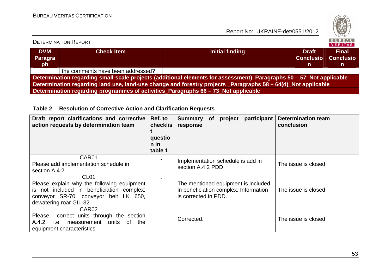

|                                                                                                                     | <b>DETERMINATION REPORT</b>       |                 |                                        | <b>BUREAU</b><br>VERITAS               |  |  |
|---------------------------------------------------------------------------------------------------------------------|-----------------------------------|-----------------|----------------------------------------|----------------------------------------|--|--|
| <b>DVM</b><br>Paragra<br>ph                                                                                         | <b>Check Item</b>                 | Initial finding | <b>Draft</b><br><b>Conclusio</b><br>m. | <b>Final</b><br><b>Conclusio</b><br>n. |  |  |
|                                                                                                                     | the comments have been addressed? |                 |                                        |                                        |  |  |
| Determination regarding small-scale projects (additional elements for assessment) Paragraphs 50 - 57 Not applicable |                                   |                 |                                        |                                        |  |  |
| Determination regarding land use, land-use change and forestry projects Paragraphs 58 – 64(d) Not applicable        |                                   |                 |                                        |                                        |  |  |
| Determination regarding programmes of activities_Paragraphs 66 - 73_Not applicable                                  |                                   |                 |                                        |                                        |  |  |

## **Table 2 Resolution of Corrective Action and Clarification Requests**

| Draft report clarifications and corrective<br>action requests by determination team                                                                                            | Ref. to<br>checklis<br>questio<br>$n$ in<br>table 1 | participant<br>project<br><b>Summary</b><br><b>of</b><br>response                                    | <b>Determination team</b><br>conclusion |
|--------------------------------------------------------------------------------------------------------------------------------------------------------------------------------|-----------------------------------------------------|------------------------------------------------------------------------------------------------------|-----------------------------------------|
| CAR01<br>Please add implementation schedule in<br>section A.4.2                                                                                                                |                                                     | Implementation schedule is add in<br>section A.4.2 PDD                                               | The issue is closed                     |
| CL <sub>01</sub><br>Please explain why the following equipment<br>is not included in beneficiation complex:<br>conveyor SR-70, conveyor belt LK 650,<br>dewatering roar GIL-32 |                                                     | The mentioned equipment is included<br>in beneficiation complex. Information<br>is corrected in PDD. | The issue is closed                     |
| CAR <sub>02</sub><br>Please correct units through the section<br>A.4.2, i.e. measurement units<br>of<br>the<br>equipment characteristics                                       |                                                     | Corrected.                                                                                           | The issue is closed                     |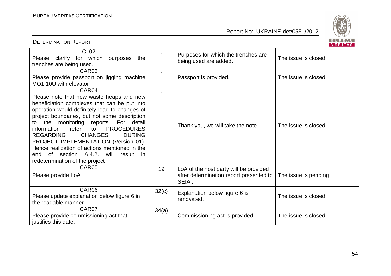

| BUREAU<br><b>DETERMINATION REPORT</b><br><b>VERITAS</b>                                                                                                                                                                                                                                                                                                                                                                                                                                                                                  |       |                                                                                           |                      |  |  |
|------------------------------------------------------------------------------------------------------------------------------------------------------------------------------------------------------------------------------------------------------------------------------------------------------------------------------------------------------------------------------------------------------------------------------------------------------------------------------------------------------------------------------------------|-------|-------------------------------------------------------------------------------------------|----------------------|--|--|
| CL <sub>02</sub><br>Please clarify for which<br>purposes<br>the<br>trenches are being used.                                                                                                                                                                                                                                                                                                                                                                                                                                              |       | Purposes for which the trenches are<br>being used are added.                              | The issue is closed  |  |  |
| CAR <sub>03</sub><br>Please provide passport on jigging machine<br>MO1 10U with elevator                                                                                                                                                                                                                                                                                                                                                                                                                                                 |       | Passport is provided.                                                                     | The issue is closed  |  |  |
| CAR04<br>Please note that new waste heaps and new<br>beneficiation complexes that can be put into<br>operation would definitely lead to changes of<br>project boundaries, but not some description<br>the monitoring reports. For detail<br>to<br>information<br><b>PROCEDURES</b><br>refer<br>to<br><b>DURING</b><br><b>REGARDING</b><br><b>CHANGES</b><br>PROJECT IMPLEMENTATION (Version 01).<br>Hence realization of actions mentioned in the<br>of section A.4.2.<br>will<br>result<br>end<br>in.<br>redetermination of the project |       | Thank you, we will take the note.                                                         | The issue is closed  |  |  |
| CAR05<br>Please provide LoA                                                                                                                                                                                                                                                                                                                                                                                                                                                                                                              | 19    | LoA of the host party will be provided<br>after determination report presented to<br>SEIA | The issue is pending |  |  |
| CAR06<br>Please update explanation below figure 6 in<br>the readable manner                                                                                                                                                                                                                                                                                                                                                                                                                                                              | 32(c) | Explanation below figure 6 is<br>renovated.                                               | The issue is closed  |  |  |
| CAR07<br>Please provide commissioning act that<br>justifies this date.                                                                                                                                                                                                                                                                                                                                                                                                                                                                   | 34(a) | Commissioning act is provided.                                                            | The issue is closed  |  |  |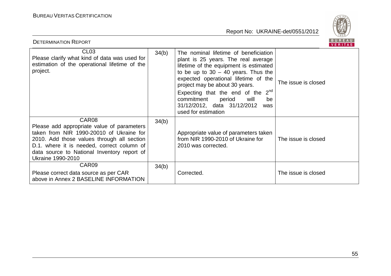

| BUREAU<br><b>DETERMINATION REPORT</b><br><b>VERITAS</b>                                                                                                                                                                                                                |       |                                                                                                                                                                                                                                                                                                                                                                                        |                     |  |  |
|------------------------------------------------------------------------------------------------------------------------------------------------------------------------------------------------------------------------------------------------------------------------|-------|----------------------------------------------------------------------------------------------------------------------------------------------------------------------------------------------------------------------------------------------------------------------------------------------------------------------------------------------------------------------------------------|---------------------|--|--|
| CL <sub>03</sub><br>Please clarify what kind of data was used for<br>estimation of the operational lifetime of the<br>project.                                                                                                                                         | 34(b) | The nominal lifetime of beneficiation<br>plant is 25 years. The real average<br>lifetime of the equipment is estimated<br>to be up to $30 - 40$ years. Thus the<br>expected operational lifetime of the<br>project may be about 30 years.<br>Expecting that the end of the $2^{nd}$<br>commitment<br>period<br>will<br>be<br>31/12/2012, data 31/12/2012<br>was<br>used for estimation | The issue is closed |  |  |
| CAR08<br>Please add appropriate value of parameters<br>taken from NIR 1990-20010 of Ukraine for<br>2010. Add those values through all section<br>D.1. where it is needed, correct column of<br>data source to National Inventory report of<br><b>Ukraine 1990-2010</b> | 34(b) | Appropriate value of parameters taken<br>from NIR 1990-2010 of Ukraine for<br>2010 was corrected.                                                                                                                                                                                                                                                                                      | The issue is closed |  |  |
| CAR <sub>09</sub><br>Please correct data source as per CAR<br>above in Annex 2 BASELINE INFORMATION                                                                                                                                                                    | 34(b) | Corrected.                                                                                                                                                                                                                                                                                                                                                                             | The issue is closed |  |  |